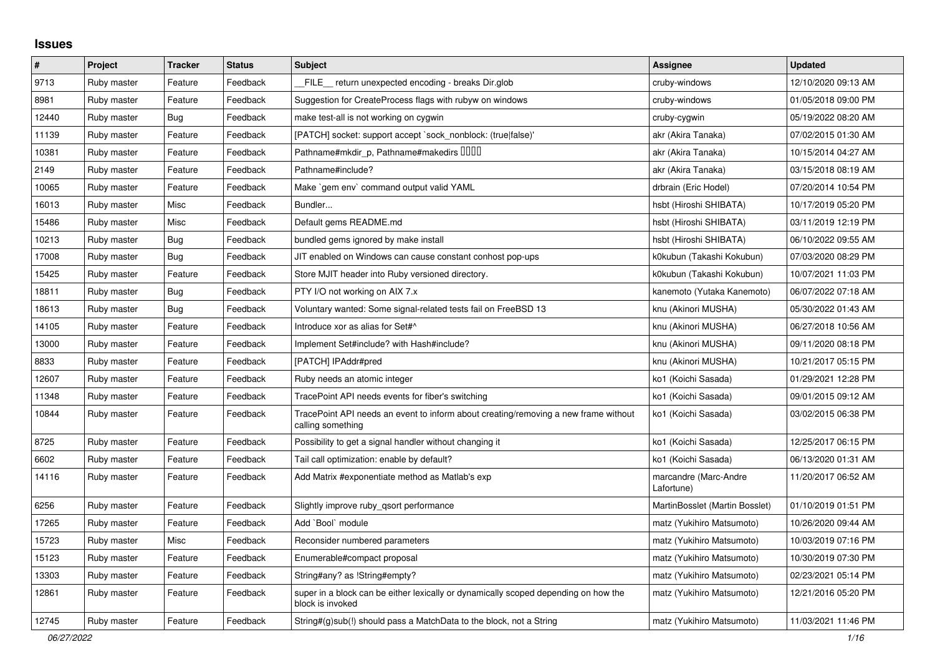## **Issues**

| $\vert$ # | Project     | <b>Tracker</b> | <b>Status</b> | <b>Subject</b>                                                                                           | <b>Assignee</b>                     | <b>Updated</b>      |
|-----------|-------------|----------------|---------------|----------------------------------------------------------------------------------------------------------|-------------------------------------|---------------------|
| 9713      | Ruby master | Feature        | Feedback      | FILE return unexpected encoding - breaks Dir.glob                                                        | cruby-windows                       | 12/10/2020 09:13 AM |
| 8981      | Ruby master | Feature        | Feedback      | Suggestion for CreateProcess flags with rubyw on windows                                                 | cruby-windows                       | 01/05/2018 09:00 PM |
| 12440     | Ruby master | Bug            | Feedback      | make test-all is not working on cygwin                                                                   | cruby-cygwin                        | 05/19/2022 08:20 AM |
| 11139     | Ruby master | Feature        | Feedback      | [PATCH] socket: support accept `sock_nonblock: (true)false)'                                             | akr (Akira Tanaka)                  | 07/02/2015 01:30 AM |
| 10381     | Ruby master | Feature        | Feedback      | Pathname#mkdir_p, Pathname#makedirs IIIII                                                                | akr (Akira Tanaka)                  | 10/15/2014 04:27 AM |
| 2149      | Ruby master | Feature        | Feedback      | Pathname#include?                                                                                        | akr (Akira Tanaka)                  | 03/15/2018 08:19 AM |
| 10065     | Ruby master | Feature        | Feedback      | Make `gem env` command output valid YAML                                                                 | drbrain (Eric Hodel)                | 07/20/2014 10:54 PM |
| 16013     | Ruby master | Misc           | Feedback      | Bundler                                                                                                  | hsbt (Hiroshi SHIBATA)              | 10/17/2019 05:20 PM |
| 15486     | Ruby master | Misc           | Feedback      | Default gems README.md                                                                                   | hsbt (Hiroshi SHIBATA)              | 03/11/2019 12:19 PM |
| 10213     | Ruby master | <b>Bug</b>     | Feedback      | bundled gems ignored by make install                                                                     | hsbt (Hiroshi SHIBATA)              | 06/10/2022 09:55 AM |
| 17008     | Ruby master | Bug            | Feedback      | JIT enabled on Windows can cause constant conhost pop-ups                                                | k0kubun (Takashi Kokubun)           | 07/03/2020 08:29 PM |
| 15425     | Ruby master | Feature        | Feedback      | Store MJIT header into Ruby versioned directory.                                                         | k0kubun (Takashi Kokubun)           | 10/07/2021 11:03 PM |
| 18811     | Ruby master | <b>Bug</b>     | Feedback      | PTY I/O not working on AIX 7.x                                                                           | kanemoto (Yutaka Kanemoto)          | 06/07/2022 07:18 AM |
| 18613     | Ruby master | <b>Bug</b>     | Feedback      | Voluntary wanted: Some signal-related tests fail on FreeBSD 13                                           | knu (Akinori MUSHA)                 | 05/30/2022 01:43 AM |
| 14105     | Ruby master | Feature        | Feedback      | Introduce xor as alias for Set#^                                                                         | knu (Akinori MUSHA)                 | 06/27/2018 10:56 AM |
| 13000     | Ruby master | Feature        | Feedback      | Implement Set#include? with Hash#include?                                                                | knu (Akinori MUSHA)                 | 09/11/2020 08:18 PM |
| 8833      | Ruby master | Feature        | Feedback      | [PATCH] IPAddr#pred                                                                                      | knu (Akinori MUSHA)                 | 10/21/2017 05:15 PM |
| 12607     | Ruby master | Feature        | Feedback      | Ruby needs an atomic integer                                                                             | ko1 (Koichi Sasada)                 | 01/29/2021 12:28 PM |
| 11348     | Ruby master | Feature        | Feedback      | TracePoint API needs events for fiber's switching                                                        | ko1 (Koichi Sasada)                 | 09/01/2015 09:12 AM |
| 10844     | Ruby master | Feature        | Feedback      | TracePoint API needs an event to inform about creating/removing a new frame without<br>calling something | ko1 (Koichi Sasada)                 | 03/02/2015 06:38 PM |
| 8725      | Ruby master | Feature        | Feedback      | Possibility to get a signal handler without changing it                                                  | ko1 (Koichi Sasada)                 | 12/25/2017 06:15 PM |
| 6602      | Ruby master | Feature        | Feedback      | Tail call optimization: enable by default?                                                               | ko1 (Koichi Sasada)                 | 06/13/2020 01:31 AM |
| 14116     | Ruby master | Feature        | Feedback      | Add Matrix #exponentiate method as Matlab's exp                                                          | marcandre (Marc-Andre<br>Lafortune) | 11/20/2017 06:52 AM |
| 6256      | Ruby master | Feature        | Feedback      | Slightly improve ruby_qsort performance                                                                  | MartinBosslet (Martin Bosslet)      | 01/10/2019 01:51 PM |
| 17265     | Ruby master | Feature        | Feedback      | Add `Bool` module                                                                                        | matz (Yukihiro Matsumoto)           | 10/26/2020 09:44 AM |
| 15723     | Ruby master | Misc           | Feedback      | Reconsider numbered parameters                                                                           | matz (Yukihiro Matsumoto)           | 10/03/2019 07:16 PM |
| 15123     | Ruby master | Feature        | Feedback      | Enumerable#compact proposal                                                                              | matz (Yukihiro Matsumoto)           | 10/30/2019 07:30 PM |
| 13303     | Ruby master | Feature        | Feedback      | String#any? as !String#empty?                                                                            | matz (Yukihiro Matsumoto)           | 02/23/2021 05:14 PM |
| 12861     | Ruby master | Feature        | Feedback      | super in a block can be either lexically or dynamically scoped depending on how the<br>block is invoked  | matz (Yukihiro Matsumoto)           | 12/21/2016 05:20 PM |
| 12745     | Ruby master | Feature        | Feedback      | String#(g)sub(!) should pass a MatchData to the block, not a String                                      | matz (Yukihiro Matsumoto)           | 11/03/2021 11:46 PM |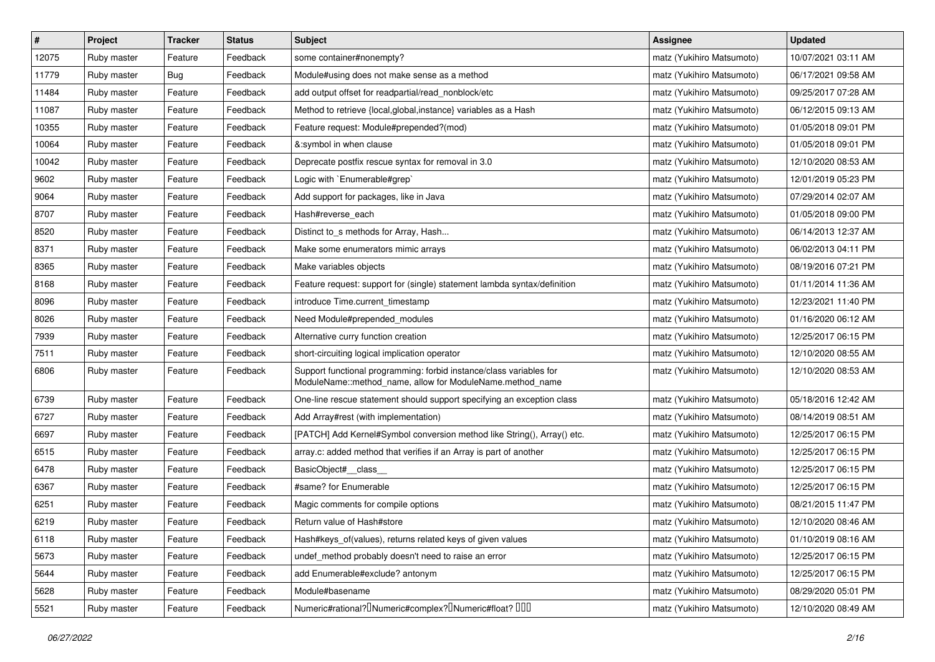| $\vert$ # | Project     | <b>Tracker</b> | <b>Status</b> | <b>Subject</b>                                                                                                                   | <b>Assignee</b>           | <b>Updated</b>      |
|-----------|-------------|----------------|---------------|----------------------------------------------------------------------------------------------------------------------------------|---------------------------|---------------------|
| 12075     | Ruby master | Feature        | Feedback      | some container#nonempty?                                                                                                         | matz (Yukihiro Matsumoto) | 10/07/2021 03:11 AM |
| 11779     | Ruby master | Bug            | Feedback      | Module#using does not make sense as a method                                                                                     | matz (Yukihiro Matsumoto) | 06/17/2021 09:58 AM |
| 11484     | Ruby master | Feature        | Feedback      | add output offset for readpartial/read_nonblock/etc                                                                              | matz (Yukihiro Matsumoto) | 09/25/2017 07:28 AM |
| 11087     | Ruby master | Feature        | Feedback      | Method to retrieve {local, global, instance} variables as a Hash                                                                 | matz (Yukihiro Matsumoto) | 06/12/2015 09:13 AM |
| 10355     | Ruby master | Feature        | Feedback      | Feature request: Module#prepended?(mod)                                                                                          | matz (Yukihiro Matsumoto) | 01/05/2018 09:01 PM |
| 10064     | Ruby master | Feature        | Feedback      | &:symbol in when clause                                                                                                          | matz (Yukihiro Matsumoto) | 01/05/2018 09:01 PM |
| 10042     | Ruby master | Feature        | Feedback      | Deprecate postfix rescue syntax for removal in 3.0                                                                               | matz (Yukihiro Matsumoto) | 12/10/2020 08:53 AM |
| 9602      | Ruby master | Feature        | Feedback      | Logic with `Enumerable#grep`                                                                                                     | matz (Yukihiro Matsumoto) | 12/01/2019 05:23 PM |
| 9064      | Ruby master | Feature        | Feedback      | Add support for packages, like in Java                                                                                           | matz (Yukihiro Matsumoto) | 07/29/2014 02:07 AM |
| 8707      | Ruby master | Feature        | Feedback      | Hash#reverse_each                                                                                                                | matz (Yukihiro Matsumoto) | 01/05/2018 09:00 PM |
| 8520      | Ruby master | Feature        | Feedback      | Distinct to s methods for Array, Hash                                                                                            | matz (Yukihiro Matsumoto) | 06/14/2013 12:37 AM |
| 8371      | Ruby master | Feature        | Feedback      | Make some enumerators mimic arrays                                                                                               | matz (Yukihiro Matsumoto) | 06/02/2013 04:11 PM |
| 8365      | Ruby master | Feature        | Feedback      | Make variables objects                                                                                                           | matz (Yukihiro Matsumoto) | 08/19/2016 07:21 PM |
| 8168      | Ruby master | Feature        | Feedback      | Feature request: support for (single) statement lambda syntax/definition                                                         | matz (Yukihiro Matsumoto) | 01/11/2014 11:36 AM |
| 8096      | Ruby master | Feature        | Feedback      | introduce Time.current timestamp                                                                                                 | matz (Yukihiro Matsumoto) | 12/23/2021 11:40 PM |
| 8026      | Ruby master | Feature        | Feedback      | Need Module#prepended_modules                                                                                                    | matz (Yukihiro Matsumoto) | 01/16/2020 06:12 AM |
| 7939      | Ruby master | Feature        | Feedback      | Alternative curry function creation                                                                                              | matz (Yukihiro Matsumoto) | 12/25/2017 06:15 PM |
| 7511      | Ruby master | Feature        | Feedback      | short-circuiting logical implication operator                                                                                    | matz (Yukihiro Matsumoto) | 12/10/2020 08:55 AM |
| 6806      | Ruby master | Feature        | Feedback      | Support functional programming: forbid instance/class variables for<br>ModuleName::method_name, allow for ModuleName.method_name | matz (Yukihiro Matsumoto) | 12/10/2020 08:53 AM |
| 6739      | Ruby master | Feature        | Feedback      | One-line rescue statement should support specifying an exception class                                                           | matz (Yukihiro Matsumoto) | 05/18/2016 12:42 AM |
| 6727      | Ruby master | Feature        | Feedback      | Add Array#rest (with implementation)                                                                                             | matz (Yukihiro Matsumoto) | 08/14/2019 08:51 AM |
| 6697      | Ruby master | Feature        | Feedback      | [PATCH] Add Kernel#Symbol conversion method like String(), Array() etc.                                                          | matz (Yukihiro Matsumoto) | 12/25/2017 06:15 PM |
| 6515      | Ruby master | Feature        | Feedback      | array.c: added method that verifies if an Array is part of another                                                               | matz (Yukihiro Matsumoto) | 12/25/2017 06:15 PM |
| 6478      | Ruby master | Feature        | Feedback      | BasicObject#_class_                                                                                                              | matz (Yukihiro Matsumoto) | 12/25/2017 06:15 PM |
| 6367      | Ruby master | Feature        | Feedback      | #same? for Enumerable                                                                                                            | matz (Yukihiro Matsumoto) | 12/25/2017 06:15 PM |
| 6251      | Ruby master | Feature        | Feedback      | Magic comments for compile options                                                                                               | matz (Yukihiro Matsumoto) | 08/21/2015 11:47 PM |
| 6219      | Ruby master | Feature        | Feedback      | Return value of Hash#store                                                                                                       | matz (Yukihiro Matsumoto) | 12/10/2020 08:46 AM |
| 6118      | Ruby master | Feature        | Feedback      | Hash#keys_of(values), returns related keys of given values                                                                       | matz (Yukihiro Matsumoto) | 01/10/2019 08:16 AM |
| 5673      | Ruby master | Feature        | Feedback      | undef_method probably doesn't need to raise an error                                                                             | matz (Yukihiro Matsumoto) | 12/25/2017 06:15 PM |
| 5644      | Ruby master | Feature        | Feedback      | add Enumerable#exclude? antonym                                                                                                  | matz (Yukihiro Matsumoto) | 12/25/2017 06:15 PM |
| 5628      | Ruby master | Feature        | Feedback      | Module#basename                                                                                                                  | matz (Yukihiro Matsumoto) | 08/29/2020 05:01 PM |
| 5521      | Ruby master | Feature        | Feedback      | Numeric#rational? <sup>[]</sup> Numeric#complex? <sup>[]</sup> Numeric#float? <sup>[10]</sup>                                    | matz (Yukihiro Matsumoto) | 12/10/2020 08:49 AM |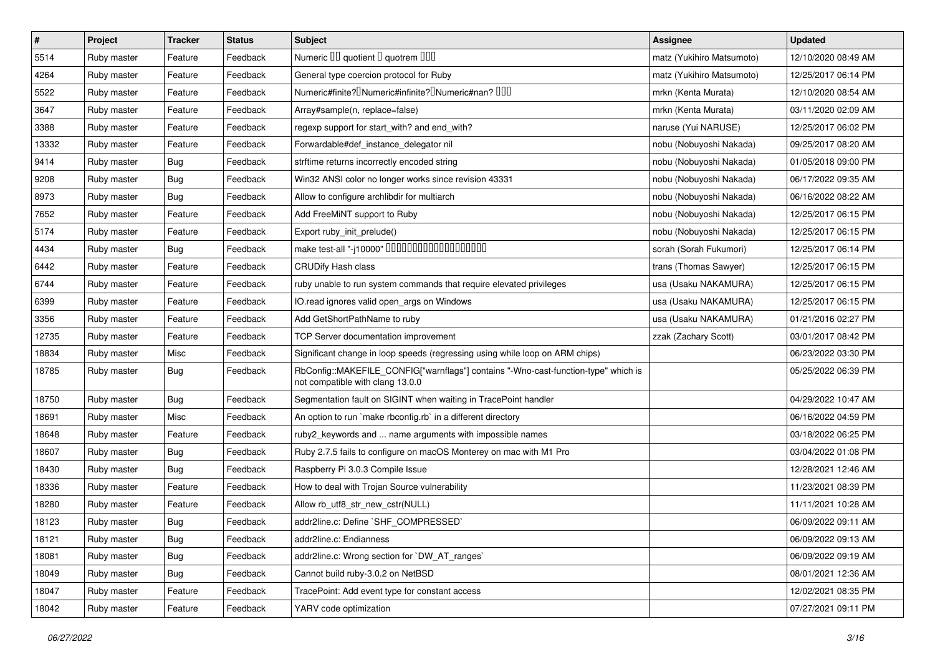| $\vert$ # | Project     | <b>Tracker</b> | <b>Status</b> | <b>Subject</b>                                                                                                         | <b>Assignee</b>           | <b>Updated</b>      |
|-----------|-------------|----------------|---------------|------------------------------------------------------------------------------------------------------------------------|---------------------------|---------------------|
| 5514      | Ruby master | Feature        | Feedback      | Numeric III quotient II quotrem IIII                                                                                   | matz (Yukihiro Matsumoto) | 12/10/2020 08:49 AM |
| 4264      | Ruby master | Feature        | Feedback      | General type coercion protocol for Ruby                                                                                | matz (Yukihiro Matsumoto) | 12/25/2017 06:14 PM |
| 5522      | Ruby master | Feature        | Feedback      | Numeric#finite? <sup>[]</sup> Numeric#infinite? <sup>[]</sup> Numeric#nan? <sup>[10]</sup>                             | mrkn (Kenta Murata)       | 12/10/2020 08:54 AM |
| 3647      | Ruby master | Feature        | Feedback      | Array#sample(n, replace=false)                                                                                         | mrkn (Kenta Murata)       | 03/11/2020 02:09 AM |
| 3388      | Ruby master | Feature        | Feedback      | regexp support for start_with? and end_with?                                                                           | naruse (Yui NARUSE)       | 12/25/2017 06:02 PM |
| 13332     | Ruby master | Feature        | Feedback      | Forwardable#def instance delegator nil                                                                                 | nobu (Nobuyoshi Nakada)   | 09/25/2017 08:20 AM |
| 9414      | Ruby master | Bug            | Feedback      | strftime returns incorrectly encoded string                                                                            | nobu (Nobuyoshi Nakada)   | 01/05/2018 09:00 PM |
| 9208      | Ruby master | <b>Bug</b>     | Feedback      | Win32 ANSI color no longer works since revision 43331                                                                  | nobu (Nobuyoshi Nakada)   | 06/17/2022 09:35 AM |
| 8973      | Ruby master | Bug            | Feedback      | Allow to configure archlibdir for multiarch                                                                            | nobu (Nobuyoshi Nakada)   | 06/16/2022 08:22 AM |
| 7652      | Ruby master | Feature        | Feedback      | Add FreeMiNT support to Ruby                                                                                           | nobu (Nobuyoshi Nakada)   | 12/25/2017 06:15 PM |
| 5174      | Ruby master | Feature        | Feedback      | Export ruby_init_prelude()                                                                                             | nobu (Nobuyoshi Nakada)   | 12/25/2017 06:15 PM |
| 4434      | Ruby master | Bug            | Feedback      | make test-all "-j10000" 0000000000000000000                                                                            | sorah (Sorah Fukumori)    | 12/25/2017 06:14 PM |
| 6442      | Ruby master | Feature        | Feedback      | <b>CRUDify Hash class</b>                                                                                              | trans (Thomas Sawyer)     | 12/25/2017 06:15 PM |
| 6744      | Ruby master | Feature        | Feedback      | ruby unable to run system commands that require elevated privileges                                                    | usa (Usaku NAKAMURA)      | 12/25/2017 06:15 PM |
| 6399      | Ruby master | Feature        | Feedback      | IO.read ignores valid open_args on Windows                                                                             | usa (Usaku NAKAMURA)      | 12/25/2017 06:15 PM |
| 3356      | Ruby master | Feature        | Feedback      | Add GetShortPathName to ruby                                                                                           | usa (Usaku NAKAMURA)      | 01/21/2016 02:27 PM |
| 12735     | Ruby master | Feature        | Feedback      | <b>TCP Server documentation improvement</b>                                                                            | zzak (Zachary Scott)      | 03/01/2017 08:42 PM |
| 18834     | Ruby master | Misc           | Feedback      | Significant change in loop speeds (regressing using while loop on ARM chips)                                           |                           | 06/23/2022 03:30 PM |
| 18785     | Ruby master | <b>Bug</b>     | Feedback      | RbConfig::MAKEFILE_CONFIG["warnflags"] contains "-Wno-cast-function-type" which is<br>not compatible with clang 13.0.0 |                           | 05/25/2022 06:39 PM |
| 18750     | Ruby master | <b>Bug</b>     | Feedback      | Segmentation fault on SIGINT when waiting in TracePoint handler                                                        |                           | 04/29/2022 10:47 AM |
| 18691     | Ruby master | Misc           | Feedback      | An option to run `make rbconfig.rb` in a different directory                                                           |                           | 06/16/2022 04:59 PM |
| 18648     | Ruby master | Feature        | Feedback      | ruby2_keywords and  name arguments with impossible names                                                               |                           | 03/18/2022 06:25 PM |
| 18607     | Ruby master | Bug            | Feedback      | Ruby 2.7.5 fails to configure on macOS Monterey on mac with M1 Pro                                                     |                           | 03/04/2022 01:08 PM |
| 18430     | Ruby master | Bug            | Feedback      | Raspberry Pi 3.0.3 Compile Issue                                                                                       |                           | 12/28/2021 12:46 AM |
| 18336     | Ruby master | Feature        | Feedback      | How to deal with Trojan Source vulnerability                                                                           |                           | 11/23/2021 08:39 PM |
| 18280     | Ruby master | Feature        | Feedback      | Allow rb utf8 str new cstr(NULL)                                                                                       |                           | 11/11/2021 10:28 AM |
| 18123     | Ruby master | <b>Bug</b>     | Feedback      | addr2line.c: Define `SHF_COMPRESSED`                                                                                   |                           | 06/09/2022 09:11 AM |
| 18121     | Ruby master | Bug            | Feedback      | addr2line.c: Endianness                                                                                                |                           | 06/09/2022 09:13 AM |
| 18081     | Ruby master | <b>Bug</b>     | Feedback      | addr2line.c: Wrong section for `DW_AT_ranges`                                                                          |                           | 06/09/2022 09:19 AM |
| 18049     | Ruby master | Bug            | Feedback      | Cannot build ruby-3.0.2 on NetBSD                                                                                      |                           | 08/01/2021 12:36 AM |
| 18047     | Ruby master | Feature        | Feedback      | TracePoint: Add event type for constant access                                                                         |                           | 12/02/2021 08:35 PM |
| 18042     | Ruby master | Feature        | Feedback      | YARV code optimization                                                                                                 |                           | 07/27/2021 09:11 PM |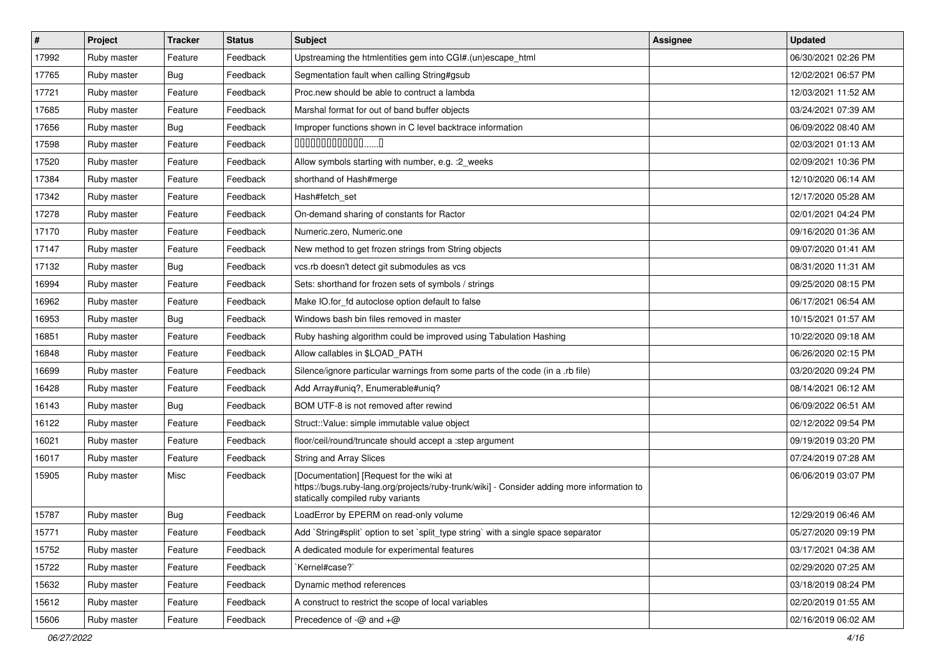| $\vert$ # | Project     | <b>Tracker</b> | <b>Status</b> | Subject                                                                                                                                                                     | Assignee | <b>Updated</b>      |
|-----------|-------------|----------------|---------------|-----------------------------------------------------------------------------------------------------------------------------------------------------------------------------|----------|---------------------|
| 17992     | Ruby master | Feature        | Feedback      | Upstreaming the htmlentities gem into CGI#.(un)escape_html                                                                                                                  |          | 06/30/2021 02:26 PM |
| 17765     | Ruby master | Bug            | Feedback      | Segmentation fault when calling String#gsub                                                                                                                                 |          | 12/02/2021 06:57 PM |
| 17721     | Ruby master | Feature        | Feedback      | Proc.new should be able to contruct a lambda                                                                                                                                |          | 12/03/2021 11:52 AM |
| 17685     | Ruby master | Feature        | Feedback      | Marshal format for out of band buffer objects                                                                                                                               |          | 03/24/2021 07:39 AM |
| 17656     | Ruby master | Bug            | Feedback      | Improper functions shown in C level backtrace information                                                                                                                   |          | 06/09/2022 08:40 AM |
| 17598     | Ruby master | Feature        | Feedback      | $0000000000000010$                                                                                                                                                          |          | 02/03/2021 01:13 AM |
| 17520     | Ruby master | Feature        | Feedback      | Allow symbols starting with number, e.g. : 2_weeks                                                                                                                          |          | 02/09/2021 10:36 PM |
| 17384     | Ruby master | Feature        | Feedback      | shorthand of Hash#merge                                                                                                                                                     |          | 12/10/2020 06:14 AM |
| 17342     | Ruby master | Feature        | Feedback      | Hash#fetch set                                                                                                                                                              |          | 12/17/2020 05:28 AM |
| 17278     | Ruby master | Feature        | Feedback      | On-demand sharing of constants for Ractor                                                                                                                                   |          | 02/01/2021 04:24 PM |
| 17170     | Ruby master | Feature        | Feedback      | Numeric.zero, Numeric.one                                                                                                                                                   |          | 09/16/2020 01:36 AM |
| 17147     | Ruby master | Feature        | Feedback      | New method to get frozen strings from String objects                                                                                                                        |          | 09/07/2020 01:41 AM |
| 17132     | Ruby master | <b>Bug</b>     | Feedback      | vcs.rb doesn't detect git submodules as vcs                                                                                                                                 |          | 08/31/2020 11:31 AM |
| 16994     | Ruby master | Feature        | Feedback      | Sets: shorthand for frozen sets of symbols / strings                                                                                                                        |          | 09/25/2020 08:15 PM |
| 16962     | Ruby master | Feature        | Feedback      | Make IO.for_fd autoclose option default to false                                                                                                                            |          | 06/17/2021 06:54 AM |
| 16953     | Ruby master | <b>Bug</b>     | Feedback      | Windows bash bin files removed in master                                                                                                                                    |          | 10/15/2021 01:57 AM |
| 16851     | Ruby master | Feature        | Feedback      | Ruby hashing algorithm could be improved using Tabulation Hashing                                                                                                           |          | 10/22/2020 09:18 AM |
| 16848     | Ruby master | Feature        | Feedback      | Allow callables in \$LOAD_PATH                                                                                                                                              |          | 06/26/2020 02:15 PM |
| 16699     | Ruby master | Feature        | Feedback      | Silence/ignore particular warnings from some parts of the code (in a .rb file)                                                                                              |          | 03/20/2020 09:24 PM |
| 16428     | Ruby master | Feature        | Feedback      | Add Array#uniq?, Enumerable#uniq?                                                                                                                                           |          | 08/14/2021 06:12 AM |
| 16143     | Ruby master | Bug            | Feedback      | BOM UTF-8 is not removed after rewind                                                                                                                                       |          | 06/09/2022 06:51 AM |
| 16122     | Ruby master | Feature        | Feedback      | Struct::Value: simple immutable value object                                                                                                                                |          | 02/12/2022 09:54 PM |
| 16021     | Ruby master | Feature        | Feedback      | floor/ceil/round/truncate should accept a :step argument                                                                                                                    |          | 09/19/2019 03:20 PM |
| 16017     | Ruby master | Feature        | Feedback      | String and Array Slices                                                                                                                                                     |          | 07/24/2019 07:28 AM |
| 15905     | Ruby master | Misc           | Feedback      | [Documentation] [Request for the wiki at<br>https://bugs.ruby-lang.org/projects/ruby-trunk/wiki] - Consider adding more information to<br>statically compiled ruby variants |          | 06/06/2019 03:07 PM |
| 15787     | Ruby master | Bug            | Feedback      | LoadError by EPERM on read-only volume                                                                                                                                      |          | 12/29/2019 06:46 AM |
| 15771     | Ruby master | Feature        | Feedback      | Add `String#split` option to set `split_type string` with a single space separator                                                                                          |          | 05/27/2020 09:19 PM |
| 15752     | Ruby master | Feature        | Feedback      | A dedicated module for experimental features                                                                                                                                |          | 03/17/2021 04:38 AM |
| 15722     | Ruby master | Feature        | Feedback      | Kernel#case?`                                                                                                                                                               |          | 02/29/2020 07:25 AM |
| 15632     | Ruby master | Feature        | Feedback      | Dynamic method references                                                                                                                                                   |          | 03/18/2019 08:24 PM |
| 15612     | Ruby master | Feature        | Feedback      | A construct to restrict the scope of local variables                                                                                                                        |          | 02/20/2019 01:55 AM |
| 15606     | Ruby master | Feature        | Feedback      | Precedence of $-\omega$ and $+\omega$                                                                                                                                       |          | 02/16/2019 06:02 AM |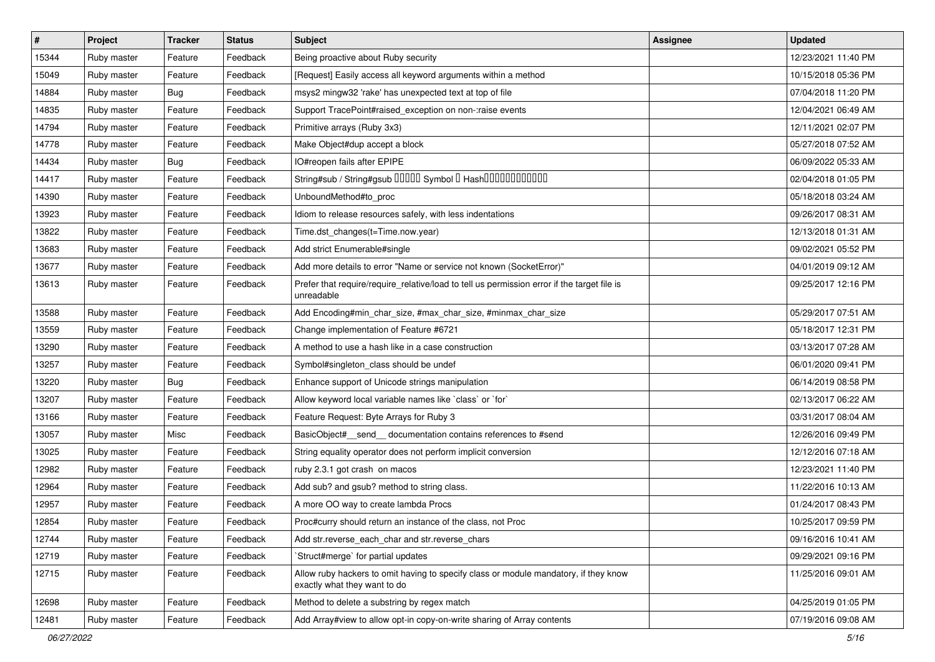| #     | Project     | <b>Tracker</b> | <b>Status</b> | Subject                                                                                                              | <b>Assignee</b> | <b>Updated</b>      |
|-------|-------------|----------------|---------------|----------------------------------------------------------------------------------------------------------------------|-----------------|---------------------|
| 15344 | Ruby master | Feature        | Feedback      | Being proactive about Ruby security                                                                                  |                 | 12/23/2021 11:40 PM |
| 15049 | Ruby master | Feature        | Feedback      | [Request] Easily access all keyword arguments within a method                                                        |                 | 10/15/2018 05:36 PM |
| 14884 | Ruby master | <b>Bug</b>     | Feedback      | msys2 mingw32 'rake' has unexpected text at top of file                                                              |                 | 07/04/2018 11:20 PM |
| 14835 | Ruby master | Feature        | Feedback      | Support TracePoint#raised_exception on non-:raise events                                                             |                 | 12/04/2021 06:49 AM |
| 14794 | Ruby master | Feature        | Feedback      | Primitive arrays (Ruby 3x3)                                                                                          |                 | 12/11/2021 02:07 PM |
| 14778 | Ruby master | Feature        | Feedback      | Make Object#dup accept a block                                                                                       |                 | 05/27/2018 07:52 AM |
| 14434 | Ruby master | Bug            | Feedback      | IO#reopen fails after EPIPE                                                                                          |                 | 06/09/2022 05:33 AM |
| 14417 | Ruby master | Feature        | Feedback      | String#sub / String#gsub 00000 Symbol 0 Hash000000000000                                                             |                 | 02/04/2018 01:05 PM |
| 14390 | Ruby master | Feature        | Feedback      | UnboundMethod#to_proc                                                                                                |                 | 05/18/2018 03:24 AM |
| 13923 | Ruby master | Feature        | Feedback      | Idiom to release resources safely, with less indentations                                                            |                 | 09/26/2017 08:31 AM |
| 13822 | Ruby master | Feature        | Feedback      | Time.dst_changes(t=Time.now.year)                                                                                    |                 | 12/13/2018 01:31 AM |
| 13683 | Ruby master | Feature        | Feedback      | Add strict Enumerable#single                                                                                         |                 | 09/02/2021 05:52 PM |
| 13677 | Ruby master | Feature        | Feedback      | Add more details to error "Name or service not known (SocketError)"                                                  |                 | 04/01/2019 09:12 AM |
| 13613 | Ruby master | Feature        | Feedback      | Prefer that require/require_relative/load to tell us permission error if the target file is<br>unreadable            |                 | 09/25/2017 12:16 PM |
| 13588 | Ruby master | Feature        | Feedback      | Add Encoding#min_char_size, #max_char_size, #minmax_char_size                                                        |                 | 05/29/2017 07:51 AM |
| 13559 | Ruby master | Feature        | Feedback      | Change implementation of Feature #6721                                                                               |                 | 05/18/2017 12:31 PM |
| 13290 | Ruby master | Feature        | Feedback      | A method to use a hash like in a case construction                                                                   |                 | 03/13/2017 07:28 AM |
| 13257 | Ruby master | Feature        | Feedback      | Symbol#singleton class should be undef                                                                               |                 | 06/01/2020 09:41 PM |
| 13220 | Ruby master | Bug            | Feedback      | Enhance support of Unicode strings manipulation                                                                      |                 | 06/14/2019 08:58 PM |
| 13207 | Ruby master | Feature        | Feedback      | Allow keyword local variable names like `class` or `for`                                                             |                 | 02/13/2017 06:22 AM |
| 13166 | Ruby master | Feature        | Feedback      | Feature Request: Byte Arrays for Ruby 3                                                                              |                 | 03/31/2017 08:04 AM |
| 13057 | Ruby master | Misc           | Feedback      | BasicObject#_send_ documentation contains references to #send                                                        |                 | 12/26/2016 09:49 PM |
| 13025 | Ruby master | Feature        | Feedback      | String equality operator does not perform implicit conversion                                                        |                 | 12/12/2016 07:18 AM |
| 12982 | Ruby master | Feature        | Feedback      | ruby 2.3.1 got crash on macos                                                                                        |                 | 12/23/2021 11:40 PM |
| 12964 | Ruby master | Feature        | Feedback      | Add sub? and gsub? method to string class.                                                                           |                 | 11/22/2016 10:13 AM |
| 12957 | Ruby master | Feature        | Feedback      | A more OO way to create lambda Procs                                                                                 |                 | 01/24/2017 08:43 PM |
| 12854 | Ruby master | Feature        | Feedback      | Proc#curry should return an instance of the class, not Proc                                                          |                 | 10/25/2017 09:59 PM |
| 12744 | Ruby master | Feature        | Feedback      | Add str. reverse each char and str. reverse chars                                                                    |                 | 09/16/2016 10:41 AM |
| 12719 | Ruby master | Feature        | Feedback      | 'Struct#merge' for partial updates                                                                                   |                 | 09/29/2021 09:16 PM |
| 12715 | Ruby master | Feature        | Feedback      | Allow ruby hackers to omit having to specify class or module mandatory, if they know<br>exactly what they want to do |                 | 11/25/2016 09:01 AM |
| 12698 | Ruby master | Feature        | Feedback      | Method to delete a substring by regex match                                                                          |                 | 04/25/2019 01:05 PM |
| 12481 | Ruby master | Feature        | Feedback      | Add Array#view to allow opt-in copy-on-write sharing of Array contents                                               |                 | 07/19/2016 09:08 AM |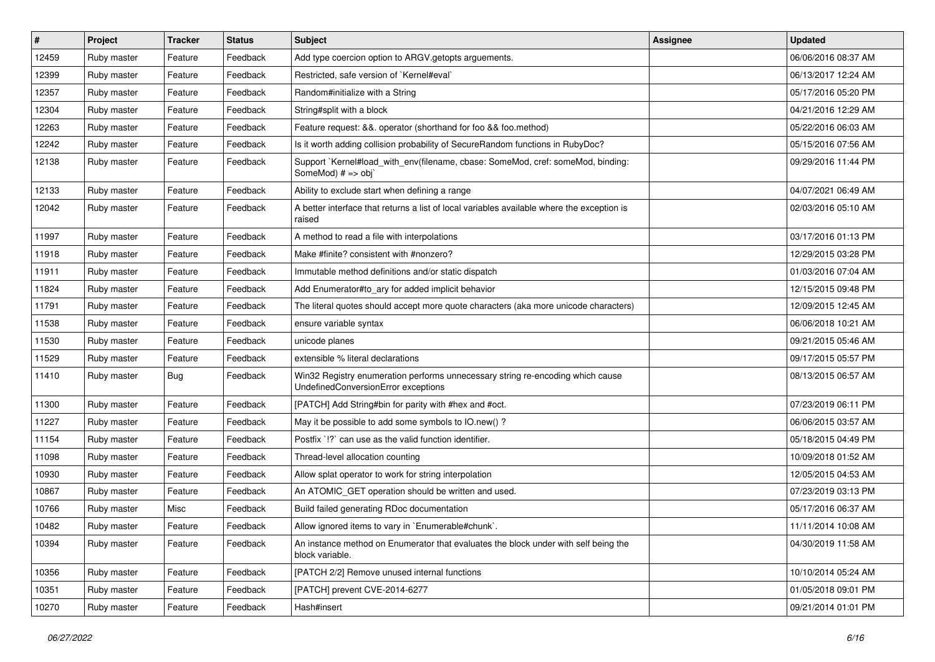| #     | Project     | <b>Tracker</b> | <b>Status</b> | <b>Subject</b>                                                                                                        | Assignee | <b>Updated</b>      |
|-------|-------------|----------------|---------------|-----------------------------------------------------------------------------------------------------------------------|----------|---------------------|
| 12459 | Ruby master | Feature        | Feedback      | Add type coercion option to ARGV getopts arguements.                                                                  |          | 06/06/2016 08:37 AM |
| 12399 | Ruby master | Feature        | Feedback      | Restricted, safe version of `Kernel#eval`                                                                             |          | 06/13/2017 12:24 AM |
| 12357 | Ruby master | Feature        | Feedback      | Random#initialize with a String                                                                                       |          | 05/17/2016 05:20 PM |
| 12304 | Ruby master | Feature        | Feedback      | String#split with a block                                                                                             |          | 04/21/2016 12:29 AM |
| 12263 | Ruby master | Feature        | Feedback      | Feature request: &&. operator (shorthand for foo && foo.method)                                                       |          | 05/22/2016 06:03 AM |
| 12242 | Ruby master | Feature        | Feedback      | Is it worth adding collision probability of SecureRandom functions in RubyDoc?                                        |          | 05/15/2016 07:56 AM |
| 12138 | Ruby master | Feature        | Feedback      | Support `Kernel#load_with_env(filename, cbase: SomeMod, cref: someMod, binding:<br>SomeMod) # => obj`                 |          | 09/29/2016 11:44 PM |
| 12133 | Ruby master | Feature        | Feedback      | Ability to exclude start when defining a range                                                                        |          | 04/07/2021 06:49 AM |
| 12042 | Ruby master | Feature        | Feedback      | A better interface that returns a list of local variables available where the exception is<br>raised                  |          | 02/03/2016 05:10 AM |
| 11997 | Ruby master | Feature        | Feedback      | A method to read a file with interpolations                                                                           |          | 03/17/2016 01:13 PM |
| 11918 | Ruby master | Feature        | Feedback      | Make #finite? consistent with #nonzero?                                                                               |          | 12/29/2015 03:28 PM |
| 11911 | Ruby master | Feature        | Feedback      | Immutable method definitions and/or static dispatch                                                                   |          | 01/03/2016 07:04 AM |
| 11824 | Ruby master | Feature        | Feedback      | Add Enumerator#to_ary for added implicit behavior                                                                     |          | 12/15/2015 09:48 PM |
| 11791 | Ruby master | Feature        | Feedback      | The literal quotes should accept more quote characters (aka more unicode characters)                                  |          | 12/09/2015 12:45 AM |
| 11538 | Ruby master | Feature        | Feedback      | ensure variable syntax                                                                                                |          | 06/06/2018 10:21 AM |
| 11530 | Ruby master | Feature        | Feedback      | unicode planes                                                                                                        |          | 09/21/2015 05:46 AM |
| 11529 | Ruby master | Feature        | Feedback      | extensible % literal declarations                                                                                     |          | 09/17/2015 05:57 PM |
| 11410 | Ruby master | Bug            | Feedback      | Win32 Registry enumeration performs unnecessary string re-encoding which cause<br>UndefinedConversionError exceptions |          | 08/13/2015 06:57 AM |
| 11300 | Ruby master | Feature        | Feedback      | [PATCH] Add String#bin for parity with #hex and #oct.                                                                 |          | 07/23/2019 06:11 PM |
| 11227 | Ruby master | Feature        | Feedback      | May it be possible to add some symbols to IO.new()?                                                                   |          | 06/06/2015 03:57 AM |
| 11154 | Ruby master | Feature        | Feedback      | Postfix `!?` can use as the valid function identifier.                                                                |          | 05/18/2015 04:49 PM |
| 11098 | Ruby master | Feature        | Feedback      | Thread-level allocation counting                                                                                      |          | 10/09/2018 01:52 AM |
| 10930 | Ruby master | Feature        | Feedback      | Allow splat operator to work for string interpolation                                                                 |          | 12/05/2015 04:53 AM |
| 10867 | Ruby master | Feature        | Feedback      | An ATOMIC_GET operation should be written and used.                                                                   |          | 07/23/2019 03:13 PM |
| 10766 | Ruby master | Misc           | Feedback      | Build failed generating RDoc documentation                                                                            |          | 05/17/2016 06:37 AM |
| 10482 | Ruby master | Feature        | Feedback      | Allow ignored items to vary in `Enumerable#chunk`.                                                                    |          | 11/11/2014 10:08 AM |
| 10394 | Ruby master | Feature        | Feedback      | An instance method on Enumerator that evaluates the block under with self being the<br>block variable.                |          | 04/30/2019 11:58 AM |
| 10356 | Ruby master | Feature        | Feedback      | [PATCH 2/2] Remove unused internal functions                                                                          |          | 10/10/2014 05:24 AM |
| 10351 | Ruby master | Feature        | Feedback      | [PATCH] prevent CVE-2014-6277                                                                                         |          | 01/05/2018 09:01 PM |
| 10270 | Ruby master | Feature        | Feedback      | Hash#insert                                                                                                           |          | 09/21/2014 01:01 PM |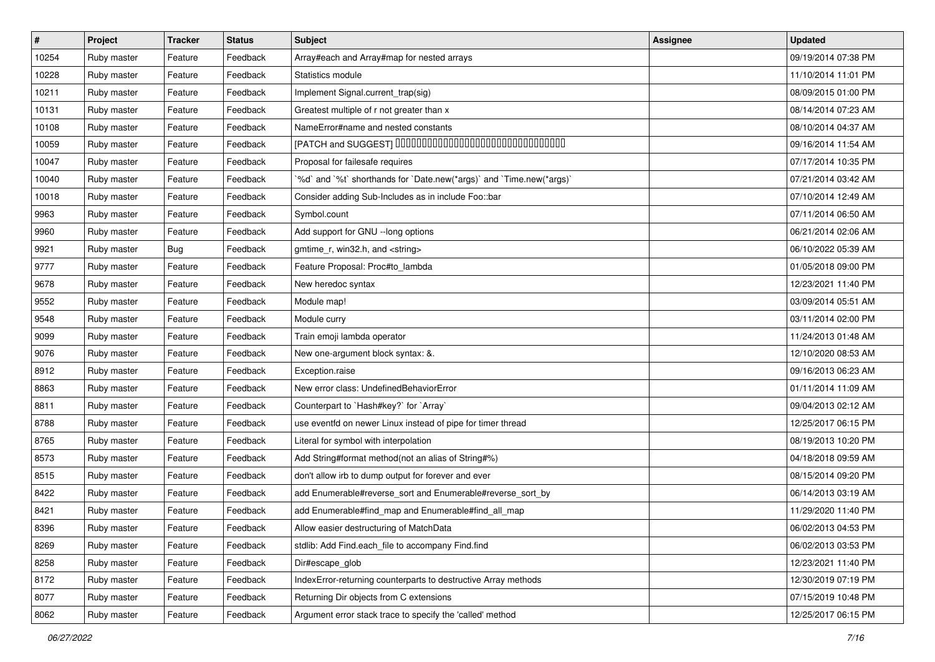| $\vert$ # | Project     | <b>Tracker</b> | <b>Status</b> | Subject                                                              | <b>Assignee</b> | <b>Updated</b>      |
|-----------|-------------|----------------|---------------|----------------------------------------------------------------------|-----------------|---------------------|
| 10254     | Ruby master | Feature        | Feedback      | Array#each and Array#map for nested arrays                           |                 | 09/19/2014 07:38 PM |
| 10228     | Ruby master | Feature        | Feedback      | Statistics module                                                    |                 | 11/10/2014 11:01 PM |
| 10211     | Ruby master | Feature        | Feedback      | Implement Signal.current_trap(sig)                                   |                 | 08/09/2015 01:00 PM |
| 10131     | Ruby master | Feature        | Feedback      | Greatest multiple of r not greater than x                            |                 | 08/14/2014 07:23 AM |
| 10108     | Ruby master | Feature        | Feedback      | NameError#name and nested constants                                  |                 | 08/10/2014 04:37 AM |
| 10059     | Ruby master | Feature        | Feedback      | [PATCH and SUGGEST] 0000000000000000000000000000000                  |                 | 09/16/2014 11:54 AM |
| 10047     | Ruby master | Feature        | Feedback      | Proposal for failesafe requires                                      |                 | 07/17/2014 10:35 PM |
| 10040     | Ruby master | Feature        | Feedback      | '%d' and '%t' shorthands for 'Date.new(*args)' and 'Time.new(*args)' |                 | 07/21/2014 03:42 AM |
| 10018     | Ruby master | Feature        | Feedback      | Consider adding Sub-Includes as in include Foo::bar                  |                 | 07/10/2014 12:49 AM |
| 9963      | Ruby master | Feature        | Feedback      | Symbol.count                                                         |                 | 07/11/2014 06:50 AM |
| 9960      | Ruby master | Feature        | Feedback      | Add support for GNU --long options                                   |                 | 06/21/2014 02:06 AM |
| 9921      | Ruby master | Bug            | Feedback      | gmtime_r, win32.h, and <string></string>                             |                 | 06/10/2022 05:39 AM |
| 9777      | Ruby master | Feature        | Feedback      | Feature Proposal: Proc#to_lambda                                     |                 | 01/05/2018 09:00 PM |
| 9678      | Ruby master | Feature        | Feedback      | New heredoc syntax                                                   |                 | 12/23/2021 11:40 PM |
| 9552      | Ruby master | Feature        | Feedback      | Module map!                                                          |                 | 03/09/2014 05:51 AM |
| 9548      | Ruby master | Feature        | Feedback      | Module curry                                                         |                 | 03/11/2014 02:00 PM |
| 9099      | Ruby master | Feature        | Feedback      | Train emoji lambda operator                                          |                 | 11/24/2013 01:48 AM |
| 9076      | Ruby master | Feature        | Feedback      | New one-argument block syntax: &.                                    |                 | 12/10/2020 08:53 AM |
| 8912      | Ruby master | Feature        | Feedback      | Exception.raise                                                      |                 | 09/16/2013 06:23 AM |
| 8863      | Ruby master | Feature        | Feedback      | New error class: UndefinedBehaviorError                              |                 | 01/11/2014 11:09 AM |
| 8811      | Ruby master | Feature        | Feedback      | Counterpart to `Hash#key?` for `Array`                               |                 | 09/04/2013 02:12 AM |
| 8788      | Ruby master | Feature        | Feedback      | use eventfd on newer Linux instead of pipe for timer thread          |                 | 12/25/2017 06:15 PM |
| 8765      | Ruby master | Feature        | Feedback      | Literal for symbol with interpolation                                |                 | 08/19/2013 10:20 PM |
| 8573      | Ruby master | Feature        | Feedback      | Add String#format method(not an alias of String#%)                   |                 | 04/18/2018 09:59 AM |
| 8515      | Ruby master | Feature        | Feedback      | don't allow irb to dump output for forever and ever                  |                 | 08/15/2014 09:20 PM |
| 8422      | Ruby master | Feature        | Feedback      | add Enumerable#reverse_sort and Enumerable#reverse_sort_by           |                 | 06/14/2013 03:19 AM |
| 8421      | Ruby master | Feature        | Feedback      | add Enumerable#find_map and Enumerable#find_all_map                  |                 | 11/29/2020 11:40 PM |
| 8396      | Ruby master | Feature        | Feedback      | Allow easier destructuring of MatchData                              |                 | 06/02/2013 04:53 PM |
| 8269      | Ruby master | Feature        | Feedback      | stdlib: Add Find.each file to accompany Find.find                    |                 | 06/02/2013 03:53 PM |
| 8258      | Ruby master | Feature        | Feedback      | Dir#escape_glob                                                      |                 | 12/23/2021 11:40 PM |
| 8172      | Ruby master | Feature        | Feedback      | IndexError-returning counterparts to destructive Array methods       |                 | 12/30/2019 07:19 PM |
| 8077      | Ruby master | Feature        | Feedback      | Returning Dir objects from C extensions                              |                 | 07/15/2019 10:48 PM |
| 8062      | Ruby master | Feature        | Feedback      | Argument error stack trace to specify the 'called' method            |                 | 12/25/2017 06:15 PM |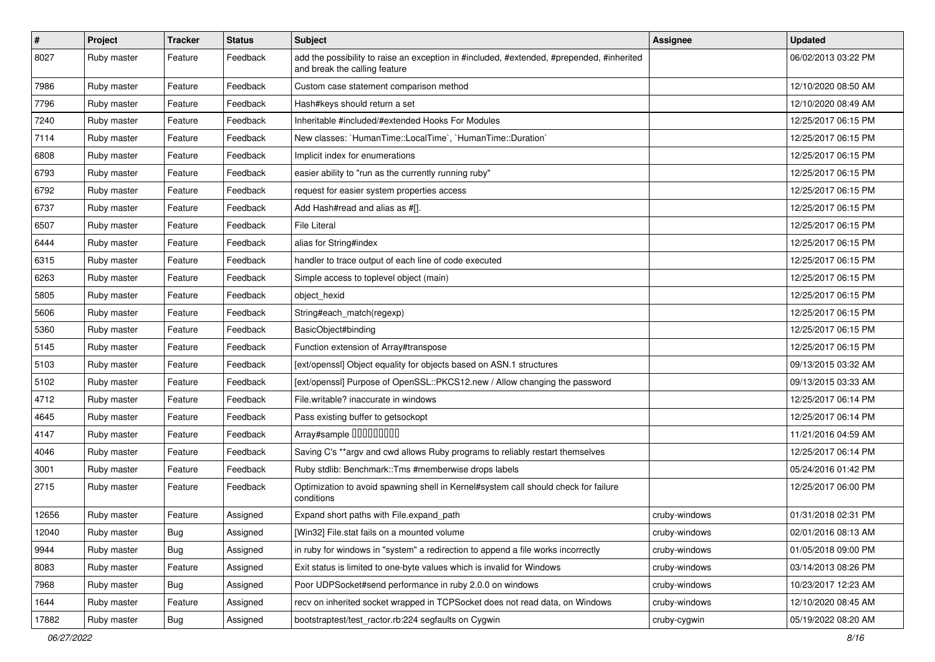| $\vert$ # | Project     | <b>Tracker</b> | <b>Status</b> | Subject                                                                                                                    | Assignee      | <b>Updated</b>      |
|-----------|-------------|----------------|---------------|----------------------------------------------------------------------------------------------------------------------------|---------------|---------------------|
| 8027      | Ruby master | Feature        | Feedback      | add the possibility to raise an exception in #included, #extended, #prepended, #inherited<br>and break the calling feature |               | 06/02/2013 03:22 PM |
| 7986      | Ruby master | Feature        | Feedback      | Custom case statement comparison method                                                                                    |               | 12/10/2020 08:50 AM |
| 7796      | Ruby master | Feature        | Feedback      | Hash#keys should return a set                                                                                              |               | 12/10/2020 08:49 AM |
| 7240      | Ruby master | Feature        | Feedback      | Inheritable #included/#extended Hooks For Modules                                                                          |               | 12/25/2017 06:15 PM |
| 7114      | Ruby master | Feature        | Feedback      | New classes: `HumanTime::LocalTime`, `HumanTime::Duration`                                                                 |               | 12/25/2017 06:15 PM |
| 6808      | Ruby master | Feature        | Feedback      | Implicit index for enumerations                                                                                            |               | 12/25/2017 06:15 PM |
| 6793      | Ruby master | Feature        | Feedback      | easier ability to "run as the currently running ruby"                                                                      |               | 12/25/2017 06:15 PM |
| 6792      | Ruby master | Feature        | Feedback      | request for easier system properties access                                                                                |               | 12/25/2017 06:15 PM |
| 6737      | Ruby master | Feature        | Feedback      | Add Hash#read and alias as #[].                                                                                            |               | 12/25/2017 06:15 PM |
| 6507      | Ruby master | Feature        | Feedback      | <b>File Literal</b>                                                                                                        |               | 12/25/2017 06:15 PM |
| 6444      | Ruby master | Feature        | Feedback      | alias for String#index                                                                                                     |               | 12/25/2017 06:15 PM |
| 6315      | Ruby master | Feature        | Feedback      | handler to trace output of each line of code executed                                                                      |               | 12/25/2017 06:15 PM |
| 6263      | Ruby master | Feature        | Feedback      | Simple access to toplevel object (main)                                                                                    |               | 12/25/2017 06:15 PM |
| 5805      | Ruby master | Feature        | Feedback      | object_hexid                                                                                                               |               | 12/25/2017 06:15 PM |
| 5606      | Ruby master | Feature        | Feedback      | String#each_match(regexp)                                                                                                  |               | 12/25/2017 06:15 PM |
| 5360      | Ruby master | Feature        | Feedback      | BasicObject#binding                                                                                                        |               | 12/25/2017 06:15 PM |
| 5145      | Ruby master | Feature        | Feedback      | Function extension of Array#transpose                                                                                      |               | 12/25/2017 06:15 PM |
| 5103      | Ruby master | Feature        | Feedback      | [ext/openssl] Object equality for objects based on ASN.1 structures                                                        |               | 09/13/2015 03:32 AM |
| 5102      | Ruby master | Feature        | Feedback      | [ext/openssl] Purpose of OpenSSL::PKCS12.new / Allow changing the password                                                 |               | 09/13/2015 03:33 AM |
| 4712      | Ruby master | Feature        | Feedback      | File.writable? inaccurate in windows                                                                                       |               | 12/25/2017 06:14 PM |
| 4645      | Ruby master | Feature        | Feedback      | Pass existing buffer to getsockopt                                                                                         |               | 12/25/2017 06:14 PM |
| 4147      | Ruby master | Feature        | Feedback      | Array#sample 00000000                                                                                                      |               | 11/21/2016 04:59 AM |
| 4046      | Ruby master | Feature        | Feedback      | Saving C's ** argv and cwd allows Ruby programs to reliably restart themselves                                             |               | 12/25/2017 06:14 PM |
| 3001      | Ruby master | Feature        | Feedback      | Ruby stdlib: Benchmark::Tms #memberwise drops labels                                                                       |               | 05/24/2016 01:42 PM |
| 2715      | Ruby master | Feature        | Feedback      | Optimization to avoid spawning shell in Kernel#system call should check for failure<br>conditions                          |               | 12/25/2017 06:00 PM |
| 12656     | Ruby master | Feature        | Assigned      | Expand short paths with File.expand_path                                                                                   | cruby-windows | 01/31/2018 02:31 PM |
| 12040     | Ruby master | <b>Bug</b>     | Assigned      | [Win32] File.stat fails on a mounted volume                                                                                | cruby-windows | 02/01/2016 08:13 AM |
| 9944      | Ruby master | <b>Bug</b>     | Assigned      | in ruby for windows in "system" a redirection to append a file works incorrectly                                           | cruby-windows | 01/05/2018 09:00 PM |
| 8083      | Ruby master | Feature        | Assigned      | Exit status is limited to one-byte values which is invalid for Windows                                                     | cruby-windows | 03/14/2013 08:26 PM |
| 7968      | Ruby master | <b>Bug</b>     | Assigned      | Poor UDPSocket#send performance in ruby 2.0.0 on windows                                                                   | cruby-windows | 10/23/2017 12:23 AM |
| 1644      | Ruby master | Feature        | Assigned      | recv on inherited socket wrapped in TCPSocket does not read data, on Windows                                               | cruby-windows | 12/10/2020 08:45 AM |
| 17882     | Ruby master | <b>Bug</b>     | Assigned      | bootstraptest/test_ractor.rb:224 segfaults on Cygwin                                                                       | cruby-cygwin  | 05/19/2022 08:20 AM |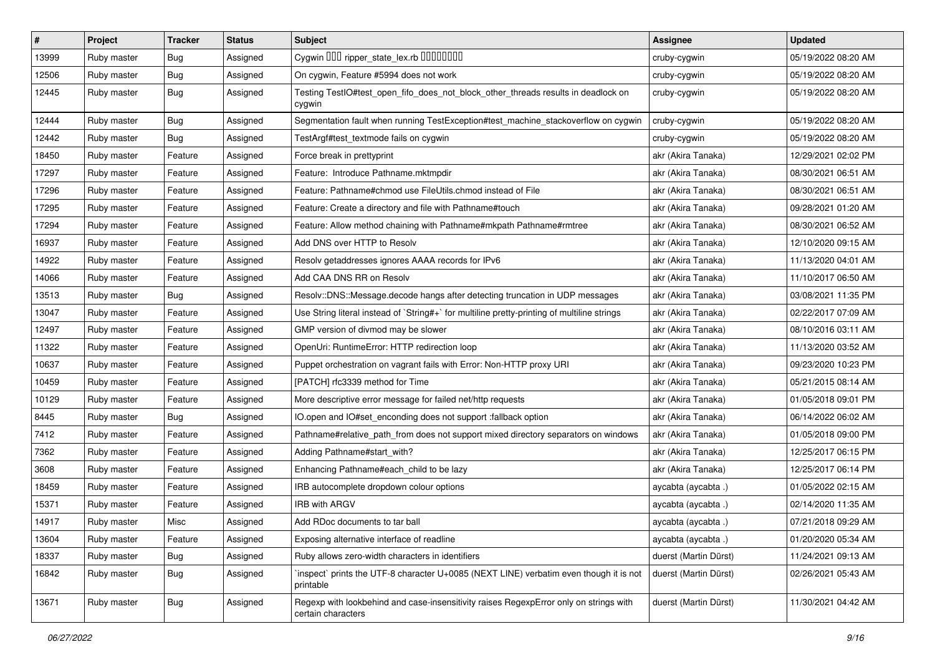| $\sharp$ | Project     | <b>Tracker</b> | <b>Status</b> | Subject                                                                                                     | <b>Assignee</b>       | <b>Updated</b>      |
|----------|-------------|----------------|---------------|-------------------------------------------------------------------------------------------------------------|-----------------------|---------------------|
| 13999    | Ruby master | <b>Bug</b>     | Assigned      | Cygwin 000 ripper_state_lex.rb 0000000                                                                      | cruby-cygwin          | 05/19/2022 08:20 AM |
| 12506    | Ruby master | <b>Bug</b>     | Assigned      | On cygwin, Feature #5994 does not work                                                                      | cruby-cygwin          | 05/19/2022 08:20 AM |
| 12445    | Ruby master | <b>Bug</b>     | Assigned      | Testing TestIO#test_open_fifo_does_not_block_other_threads results in deadlock on<br>cygwin                 | cruby-cygwin          | 05/19/2022 08:20 AM |
| 12444    | Ruby master | <b>Bug</b>     | Assigned      | Segmentation fault when running TestException#test_machine_stackoverflow on cygwin                          | cruby-cygwin          | 05/19/2022 08:20 AM |
| 12442    | Ruby master | <b>Bug</b>     | Assigned      | TestArgf#test textmode fails on cygwin                                                                      | cruby-cygwin          | 05/19/2022 08:20 AM |
| 18450    | Ruby master | Feature        | Assigned      | Force break in prettyprint                                                                                  | akr (Akira Tanaka)    | 12/29/2021 02:02 PM |
| 17297    | Ruby master | Feature        | Assigned      | Feature: Introduce Pathname.mktmpdir                                                                        | akr (Akira Tanaka)    | 08/30/2021 06:51 AM |
| 17296    | Ruby master | Feature        | Assigned      | Feature: Pathname#chmod use FileUtils.chmod instead of File                                                 | akr (Akira Tanaka)    | 08/30/2021 06:51 AM |
| 17295    | Ruby master | Feature        | Assigned      | Feature: Create a directory and file with Pathname#touch                                                    | akr (Akira Tanaka)    | 09/28/2021 01:20 AM |
| 17294    | Ruby master | Feature        | Assigned      | Feature: Allow method chaining with Pathname#mkpath Pathname#rmtree                                         | akr (Akira Tanaka)    | 08/30/2021 06:52 AM |
| 16937    | Ruby master | Feature        | Assigned      | Add DNS over HTTP to Resolv                                                                                 | akr (Akira Tanaka)    | 12/10/2020 09:15 AM |
| 14922    | Ruby master | Feature        | Assigned      | Resolv getaddresses ignores AAAA records for IPv6                                                           | akr (Akira Tanaka)    | 11/13/2020 04:01 AM |
| 14066    | Ruby master | Feature        | Assigned      | Add CAA DNS RR on Resolv                                                                                    | akr (Akira Tanaka)    | 11/10/2017 06:50 AM |
| 13513    | Ruby master | <b>Bug</b>     | Assigned      | Resolv::DNS::Message.decode hangs after detecting truncation in UDP messages                                | akr (Akira Tanaka)    | 03/08/2021 11:35 PM |
| 13047    | Ruby master | Feature        | Assigned      | Use String literal instead of `String#+` for multiline pretty-printing of multiline strings                 | akr (Akira Tanaka)    | 02/22/2017 07:09 AM |
| 12497    | Ruby master | Feature        | Assigned      | GMP version of divmod may be slower                                                                         | akr (Akira Tanaka)    | 08/10/2016 03:11 AM |
| 11322    | Ruby master | Feature        | Assigned      | OpenUri: RuntimeError: HTTP redirection loop                                                                | akr (Akira Tanaka)    | 11/13/2020 03:52 AM |
| 10637    | Ruby master | Feature        | Assigned      | Puppet orchestration on vagrant fails with Error: Non-HTTP proxy URI                                        | akr (Akira Tanaka)    | 09/23/2020 10:23 PM |
| 10459    | Ruby master | Feature        | Assigned      | [PATCH] rfc3339 method for Time                                                                             | akr (Akira Tanaka)    | 05/21/2015 08:14 AM |
| 10129    | Ruby master | Feature        | Assigned      | More descriptive error message for failed net/http requests                                                 | akr (Akira Tanaka)    | 01/05/2018 09:01 PM |
| 8445     | Ruby master | <b>Bug</b>     | Assigned      | IO.open and IO#set_enconding does not support :fallback option                                              | akr (Akira Tanaka)    | 06/14/2022 06:02 AM |
| 7412     | Ruby master | Feature        | Assigned      | Pathname#relative_path_from does not support mixed directory separators on windows                          | akr (Akira Tanaka)    | 01/05/2018 09:00 PM |
| 7362     | Ruby master | Feature        | Assigned      | Adding Pathname#start with?                                                                                 | akr (Akira Tanaka)    | 12/25/2017 06:15 PM |
| 3608     | Ruby master | Feature        | Assigned      | Enhancing Pathname#each_child to be lazy                                                                    | akr (Akira Tanaka)    | 12/25/2017 06:14 PM |
| 18459    | Ruby master | Feature        | Assigned      | IRB autocomplete dropdown colour options                                                                    | aycabta (aycabta.)    | 01/05/2022 02:15 AM |
| 15371    | Ruby master | Feature        | Assigned      | <b>IRB with ARGV</b>                                                                                        | aycabta (aycabta.)    | 02/14/2020 11:35 AM |
| 14917    | Ruby master | Misc           | Assigned      | Add RDoc documents to tar ball                                                                              | aycabta (aycabta.)    | 07/21/2018 09:29 AM |
| 13604    | Ruby master | Feature        | Assigned      | Exposing alternative interface of readline                                                                  | aycabta (aycabta.)    | 01/20/2020 05:34 AM |
| 18337    | Ruby master | <b>Bug</b>     | Assigned      | Ruby allows zero-width characters in identifiers                                                            | duerst (Martin Dürst) | 11/24/2021 09:13 AM |
| 16842    | Ruby master | Bug            | Assigned      | 'inspect' prints the UTF-8 character U+0085 (NEXT LINE) verbatim even though it is not<br>printable         | duerst (Martin Dürst) | 02/26/2021 05:43 AM |
| 13671    | Ruby master | Bug            | Assigned      | Regexp with lookbehind and case-insensitivity raises RegexpError only on strings with<br>certain characters | duerst (Martin Dürst) | 11/30/2021 04:42 AM |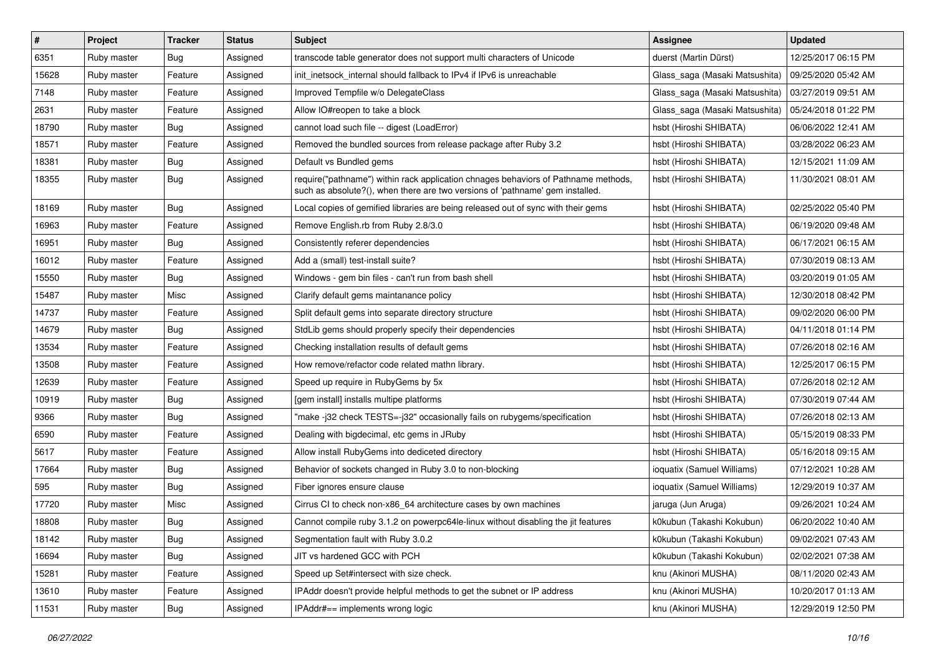| $\vert$ # | Project     | <b>Tracker</b> | <b>Status</b> | <b>Subject</b>                                                                                                                                                      | <b>Assignee</b>                | <b>Updated</b>      |
|-----------|-------------|----------------|---------------|---------------------------------------------------------------------------------------------------------------------------------------------------------------------|--------------------------------|---------------------|
| 6351      | Ruby master | Bug            | Assigned      | transcode table generator does not support multi characters of Unicode                                                                                              | duerst (Martin Dürst)          | 12/25/2017 06:15 PM |
| 15628     | Ruby master | Feature        | Assigned      | init inetsock internal should fallback to IPv4 if IPv6 is unreachable                                                                                               | Glass_saga (Masaki Matsushita) | 09/25/2020 05:42 AM |
| 7148      | Ruby master | Feature        | Assigned      | Improved Tempfile w/o DelegateClass                                                                                                                                 | Glass_saga (Masaki Matsushita) | 03/27/2019 09:51 AM |
| 2631      | Ruby master | Feature        | Assigned      | Allow IO#reopen to take a block                                                                                                                                     | Glass_saga (Masaki Matsushita) | 05/24/2018 01:22 PM |
| 18790     | Ruby master | Bug            | Assigned      | cannot load such file -- digest (LoadError)                                                                                                                         | hsbt (Hiroshi SHIBATA)         | 06/06/2022 12:41 AM |
| 18571     | Ruby master | Feature        | Assigned      | Removed the bundled sources from release package after Ruby 3.2                                                                                                     | hsbt (Hiroshi SHIBATA)         | 03/28/2022 06:23 AM |
| 18381     | Ruby master | Bug            | Assigned      | Default vs Bundled gems                                                                                                                                             | hsbt (Hiroshi SHIBATA)         | 12/15/2021 11:09 AM |
| 18355     | Ruby master | Bug            | Assigned      | require("pathname") within rack application chnages behaviors of Pathname methods,<br>such as absolute?(), when there are two versions of 'pathname' gem installed. | hsbt (Hiroshi SHIBATA)         | 11/30/2021 08:01 AM |
| 18169     | Ruby master | <b>Bug</b>     | Assigned      | Local copies of gemified libraries are being released out of sync with their gems                                                                                   | hsbt (Hiroshi SHIBATA)         | 02/25/2022 05:40 PM |
| 16963     | Ruby master | Feature        | Assigned      | Remove English.rb from Ruby 2.8/3.0                                                                                                                                 | hsbt (Hiroshi SHIBATA)         | 06/19/2020 09:48 AM |
| 16951     | Ruby master | <b>Bug</b>     | Assigned      | Consistently referer dependencies                                                                                                                                   | hsbt (Hiroshi SHIBATA)         | 06/17/2021 06:15 AM |
| 16012     | Ruby master | Feature        | Assigned      | Add a (small) test-install suite?                                                                                                                                   | hsbt (Hiroshi SHIBATA)         | 07/30/2019 08:13 AM |
| 15550     | Ruby master | <b>Bug</b>     | Assigned      | Windows - gem bin files - can't run from bash shell                                                                                                                 | hsbt (Hiroshi SHIBATA)         | 03/20/2019 01:05 AM |
| 15487     | Ruby master | Misc           | Assigned      | Clarify default gems maintanance policy                                                                                                                             | hsbt (Hiroshi SHIBATA)         | 12/30/2018 08:42 PM |
| 14737     | Ruby master | Feature        | Assigned      | Split default gems into separate directory structure                                                                                                                | hsbt (Hiroshi SHIBATA)         | 09/02/2020 06:00 PM |
| 14679     | Ruby master | <b>Bug</b>     | Assigned      | StdLib gems should properly specify their dependencies                                                                                                              | hsbt (Hiroshi SHIBATA)         | 04/11/2018 01:14 PM |
| 13534     | Ruby master | Feature        | Assigned      | Checking installation results of default gems                                                                                                                       | hsbt (Hiroshi SHIBATA)         | 07/26/2018 02:16 AM |
| 13508     | Ruby master | Feature        | Assigned      | How remove/refactor code related mathn library.                                                                                                                     | hsbt (Hiroshi SHIBATA)         | 12/25/2017 06:15 PM |
| 12639     | Ruby master | Feature        | Assigned      | Speed up require in RubyGems by 5x                                                                                                                                  | hsbt (Hiroshi SHIBATA)         | 07/26/2018 02:12 AM |
| 10919     | Ruby master | <b>Bug</b>     | Assigned      | [gem install] installs multipe platforms                                                                                                                            | hsbt (Hiroshi SHIBATA)         | 07/30/2019 07:44 AM |
| 9366      | Ruby master | Bug            | Assigned      | "make -j32 check TESTS=-j32" occasionally fails on rubygems/specification                                                                                           | hsbt (Hiroshi SHIBATA)         | 07/26/2018 02:13 AM |
| 6590      | Ruby master | Feature        | Assigned      | Dealing with bigdecimal, etc gems in JRuby                                                                                                                          | hsbt (Hiroshi SHIBATA)         | 05/15/2019 08:33 PM |
| 5617      | Ruby master | Feature        | Assigned      | Allow install RubyGems into dediceted directory                                                                                                                     | hsbt (Hiroshi SHIBATA)         | 05/16/2018 09:15 AM |
| 17664     | Ruby master | <b>Bug</b>     | Assigned      | Behavior of sockets changed in Ruby 3.0 to non-blocking                                                                                                             | ioquatix (Samuel Williams)     | 07/12/2021 10:28 AM |
| 595       | Ruby master | <b>Bug</b>     | Assigned      | Fiber ignores ensure clause                                                                                                                                         | ioquatix (Samuel Williams)     | 12/29/2019 10:37 AM |
| 17720     | Ruby master | Misc           | Assigned      | Cirrus CI to check non-x86 64 architecture cases by own machines                                                                                                    | jaruga (Jun Aruga)             | 09/26/2021 10:24 AM |
| 18808     | Ruby master | Bug            | Assigned      | Cannot compile ruby 3.1.2 on powerpc64le-linux without disabling the jit features                                                                                   | k0kubun (Takashi Kokubun)      | 06/20/2022 10:40 AM |
| 18142     | Ruby master | <b>Bug</b>     | Assigned      | Segmentation fault with Ruby 3.0.2                                                                                                                                  | k0kubun (Takashi Kokubun)      | 09/02/2021 07:43 AM |
| 16694     | Ruby master | <b>Bug</b>     | Assigned      | JIT vs hardened GCC with PCH                                                                                                                                        | k0kubun (Takashi Kokubun)      | 02/02/2021 07:38 AM |
| 15281     | Ruby master | Feature        | Assigned      | Speed up Set#intersect with size check.                                                                                                                             | knu (Akinori MUSHA)            | 08/11/2020 02:43 AM |
| 13610     | Ruby master | Feature        | Assigned      | IPAddr doesn't provide helpful methods to get the subnet or IP address                                                                                              | knu (Akinori MUSHA)            | 10/20/2017 01:13 AM |
| 11531     | Ruby master | <b>Bug</b>     | Assigned      | IPAddr#== implements wrong logic                                                                                                                                    | knu (Akinori MUSHA)            | 12/29/2019 12:50 PM |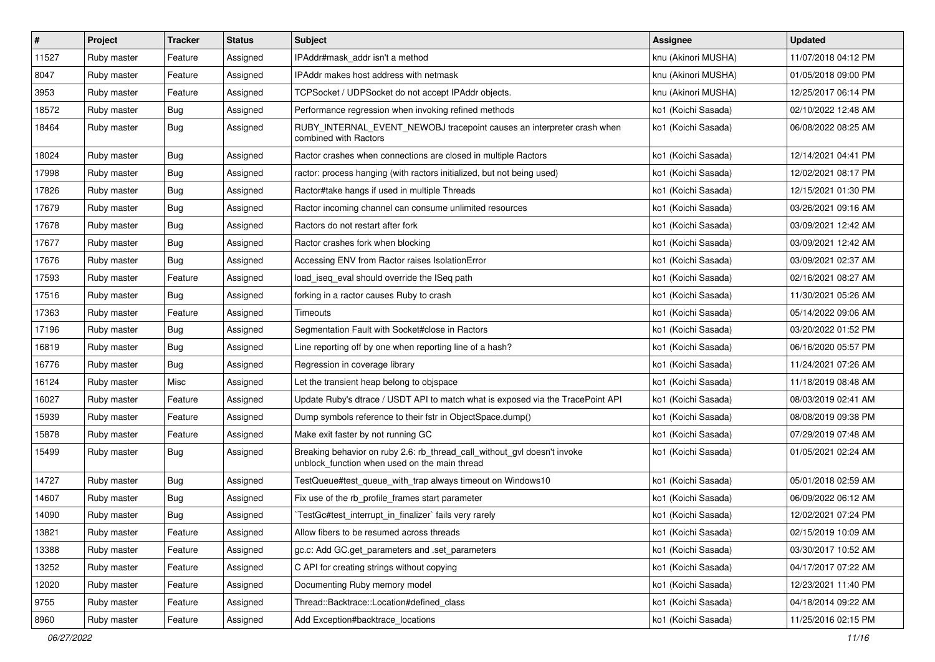| #     | Project     | <b>Tracker</b> | <b>Status</b> | Subject                                                                                                                   | Assignee            | <b>Updated</b>      |
|-------|-------------|----------------|---------------|---------------------------------------------------------------------------------------------------------------------------|---------------------|---------------------|
| 11527 | Ruby master | Feature        | Assigned      | IPAddr#mask addr isn't a method                                                                                           | knu (Akinori MUSHA) | 11/07/2018 04:12 PM |
| 8047  | Ruby master | Feature        | Assigned      | IPAddr makes host address with netmask                                                                                    | knu (Akinori MUSHA) | 01/05/2018 09:00 PM |
| 3953  | Ruby master | Feature        | Assigned      | TCPSocket / UDPSocket do not accept IPAddr objects.                                                                       | knu (Akinori MUSHA) | 12/25/2017 06:14 PM |
| 18572 | Ruby master | Bug            | Assigned      | Performance regression when invoking refined methods                                                                      | ko1 (Koichi Sasada) | 02/10/2022 12:48 AM |
| 18464 | Ruby master | Bug            | Assigned      | RUBY_INTERNAL_EVENT_NEWOBJ tracepoint causes an interpreter crash when<br>combined with Ractors                           | ko1 (Koichi Sasada) | 06/08/2022 08:25 AM |
| 18024 | Ruby master | Bug            | Assigned      | Ractor crashes when connections are closed in multiple Ractors                                                            | ko1 (Koichi Sasada) | 12/14/2021 04:41 PM |
| 17998 | Ruby master | Bug            | Assigned      | ractor: process hanging (with ractors initialized, but not being used)                                                    | ko1 (Koichi Sasada) | 12/02/2021 08:17 PM |
| 17826 | Ruby master | <b>Bug</b>     | Assigned      | Ractor#take hangs if used in multiple Threads                                                                             | ko1 (Koichi Sasada) | 12/15/2021 01:30 PM |
| 17679 | Ruby master | <b>Bug</b>     | Assigned      | Ractor incoming channel can consume unlimited resources                                                                   | ko1 (Koichi Sasada) | 03/26/2021 09:16 AM |
| 17678 | Ruby master | <b>Bug</b>     | Assigned      | Ractors do not restart after fork                                                                                         | ko1 (Koichi Sasada) | 03/09/2021 12:42 AM |
| 17677 | Ruby master | <b>Bug</b>     | Assigned      | Ractor crashes fork when blocking                                                                                         | ko1 (Koichi Sasada) | 03/09/2021 12:42 AM |
| 17676 | Ruby master | Bug            | Assigned      | Accessing ENV from Ractor raises IsolationError                                                                           | ko1 (Koichi Sasada) | 03/09/2021 02:37 AM |
| 17593 | Ruby master | Feature        | Assigned      | load iseg eval should override the ISeg path                                                                              | ko1 (Koichi Sasada) | 02/16/2021 08:27 AM |
| 17516 | Ruby master | Bug            | Assigned      | forking in a ractor causes Ruby to crash                                                                                  | ko1 (Koichi Sasada) | 11/30/2021 05:26 AM |
| 17363 | Ruby master | Feature        | Assigned      | <b>Timeouts</b>                                                                                                           | ko1 (Koichi Sasada) | 05/14/2022 09:06 AM |
| 17196 | Ruby master | <b>Bug</b>     | Assigned      | Segmentation Fault with Socket#close in Ractors                                                                           | ko1 (Koichi Sasada) | 03/20/2022 01:52 PM |
| 16819 | Ruby master | Bug            | Assigned      | Line reporting off by one when reporting line of a hash?                                                                  | ko1 (Koichi Sasada) | 06/16/2020 05:57 PM |
| 16776 | Ruby master | <b>Bug</b>     | Assigned      | Regression in coverage library                                                                                            | ko1 (Koichi Sasada) | 11/24/2021 07:26 AM |
| 16124 | Ruby master | Misc           | Assigned      | Let the transient heap belong to objspace                                                                                 | ko1 (Koichi Sasada) | 11/18/2019 08:48 AM |
| 16027 | Ruby master | Feature        | Assigned      | Update Ruby's dtrace / USDT API to match what is exposed via the TracePoint API                                           | ko1 (Koichi Sasada) | 08/03/2019 02:41 AM |
| 15939 | Ruby master | Feature        | Assigned      | Dump symbols reference to their fstr in ObjectSpace.dump()                                                                | ko1 (Koichi Sasada) | 08/08/2019 09:38 PM |
| 15878 | Ruby master | Feature        | Assigned      | Make exit faster by not running GC                                                                                        | ko1 (Koichi Sasada) | 07/29/2019 07:48 AM |
| 15499 | Ruby master | <b>Bug</b>     | Assigned      | Breaking behavior on ruby 2.6: rb_thread_call_without_gvl doesn't invoke<br>unblock_function when used on the main thread | ko1 (Koichi Sasada) | 01/05/2021 02:24 AM |
| 14727 | Ruby master | Bug            | Assigned      | TestQueue#test_queue_with_trap always timeout on Windows10                                                                | ko1 (Koichi Sasada) | 05/01/2018 02:59 AM |
| 14607 | Ruby master | <b>Bug</b>     | Assigned      | Fix use of the rb_profile_frames start parameter                                                                          | ko1 (Koichi Sasada) | 06/09/2022 06:12 AM |
| 14090 | Ruby master | Bug            | Assigned      | TestGc#test_interrupt_in_finalizer` fails very rarely                                                                     | ko1 (Koichi Sasada) | 12/02/2021 07:24 PM |
| 13821 | Ruby master | Feature        | Assigned      | Allow fibers to be resumed across threads                                                                                 | ko1 (Koichi Sasada) | 02/15/2019 10:09 AM |
| 13388 | Ruby master | Feature        | Assigned      | gc.c: Add GC.get_parameters and .set_parameters                                                                           | ko1 (Koichi Sasada) | 03/30/2017 10:52 AM |
| 13252 | Ruby master | Feature        | Assigned      | C API for creating strings without copying                                                                                | ko1 (Koichi Sasada) | 04/17/2017 07:22 AM |
| 12020 | Ruby master | Feature        | Assigned      | Documenting Ruby memory model                                                                                             | ko1 (Koichi Sasada) | 12/23/2021 11:40 PM |
| 9755  | Ruby master | Feature        | Assigned      | Thread::Backtrace::Location#defined_class                                                                                 | ko1 (Koichi Sasada) | 04/18/2014 09:22 AM |
| 8960  | Ruby master | Feature        | Assigned      | Add Exception#backtrace_locations                                                                                         | ko1 (Koichi Sasada) | 11/25/2016 02:15 PM |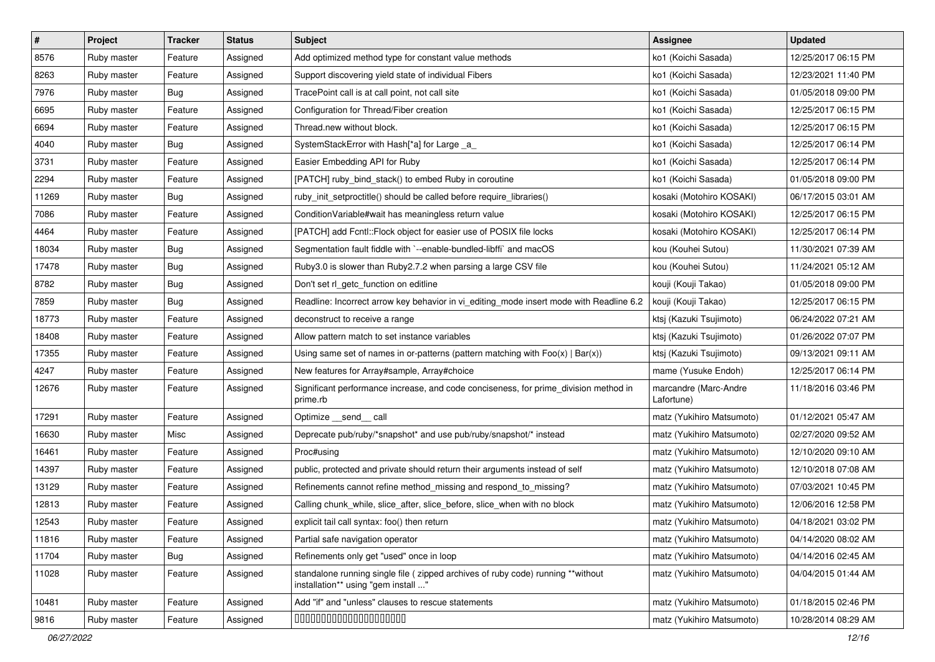| $\vert$ # | Project     | <b>Tracker</b> | <b>Status</b> | Subject                                                                                                                 | <b>Assignee</b>                     | <b>Updated</b>      |
|-----------|-------------|----------------|---------------|-------------------------------------------------------------------------------------------------------------------------|-------------------------------------|---------------------|
| 8576      | Ruby master | Feature        | Assigned      | Add optimized method type for constant value methods                                                                    | ko1 (Koichi Sasada)                 | 12/25/2017 06:15 PM |
| 8263      | Ruby master | Feature        | Assigned      | Support discovering yield state of individual Fibers                                                                    | ko1 (Koichi Sasada)                 | 12/23/2021 11:40 PM |
| 7976      | Ruby master | Bug            | Assigned      | TracePoint call is at call point, not call site                                                                         | ko1 (Koichi Sasada)                 | 01/05/2018 09:00 PM |
| 6695      | Ruby master | Feature        | Assigned      | Configuration for Thread/Fiber creation                                                                                 | ko1 (Koichi Sasada)                 | 12/25/2017 06:15 PM |
| 6694      | Ruby master | Feature        | Assigned      | Thread.new without block.                                                                                               | ko1 (Koichi Sasada)                 | 12/25/2017 06:15 PM |
| 4040      | Ruby master | Bug            | Assigned      | SystemStackError with Hash[*a] for Large _a_                                                                            | ko1 (Koichi Sasada)                 | 12/25/2017 06:14 PM |
| 3731      | Ruby master | Feature        | Assigned      | Easier Embedding API for Ruby                                                                                           | ko1 (Koichi Sasada)                 | 12/25/2017 06:14 PM |
| 2294      | Ruby master | Feature        | Assigned      | [PATCH] ruby bind stack() to embed Ruby in coroutine                                                                    | ko1 (Koichi Sasada)                 | 01/05/2018 09:00 PM |
| 11269     | Ruby master | Bug            | Assigned      | ruby_init_setproctitle() should be called before require_libraries()                                                    | kosaki (Motohiro KOSAKI)            | 06/17/2015 03:01 AM |
| 7086      | Ruby master | Feature        | Assigned      | ConditionVariable#wait has meaningless return value                                                                     | kosaki (Motohiro KOSAKI)            | 12/25/2017 06:15 PM |
| 4464      | Ruby master | Feature        | Assigned      | [PATCH] add Fcntl::Flock object for easier use of POSIX file locks                                                      | kosaki (Motohiro KOSAKI)            | 12/25/2017 06:14 PM |
| 18034     | Ruby master | Bug            | Assigned      | Segmentation fault fiddle with `--enable-bundled-libffi` and macOS                                                      | kou (Kouhei Sutou)                  | 11/30/2021 07:39 AM |
| 17478     | Ruby master | Bug            | Assigned      | Ruby3.0 is slower than Ruby2.7.2 when parsing a large CSV file                                                          | kou (Kouhei Sutou)                  | 11/24/2021 05:12 AM |
| 8782      | Ruby master | Bug            | Assigned      | Don't set rl_getc_function on editline                                                                                  | kouji (Kouji Takao)                 | 01/05/2018 09:00 PM |
| 7859      | Ruby master | <b>Bug</b>     | Assigned      | Readline: Incorrect arrow key behavior in vi_editing_mode insert mode with Readline 6.2                                 | kouji (Kouji Takao)                 | 12/25/2017 06:15 PM |
| 18773     | Ruby master | Feature        | Assigned      | deconstruct to receive a range                                                                                          | ktsj (Kazuki Tsujimoto)             | 06/24/2022 07:21 AM |
| 18408     | Ruby master | Feature        | Assigned      | Allow pattern match to set instance variables                                                                           | ktsj (Kazuki Tsujimoto)             | 01/26/2022 07:07 PM |
| 17355     | Ruby master | Feature        | Assigned      | Using same set of names in or-patterns (pattern matching with $Foo(x)   Bar(x)$ )                                       | ktsj (Kazuki Tsujimoto)             | 09/13/2021 09:11 AM |
| 4247      | Ruby master | Feature        | Assigned      | New features for Array#sample, Array#choice                                                                             | mame (Yusuke Endoh)                 | 12/25/2017 06:14 PM |
| 12676     | Ruby master | Feature        | Assigned      | Significant performance increase, and code conciseness, for prime_division method in<br>prime.rb                        | marcandre (Marc-Andre<br>Lafortune) | 11/18/2016 03:46 PM |
| 17291     | Ruby master | Feature        | Assigned      | Optimize __send__ call                                                                                                  | matz (Yukihiro Matsumoto)           | 01/12/2021 05:47 AM |
| 16630     | Ruby master | Misc           | Assigned      | Deprecate pub/ruby/*snapshot* and use pub/ruby/snapshot/* instead                                                       | matz (Yukihiro Matsumoto)           | 02/27/2020 09:52 AM |
| 16461     | Ruby master | Feature        | Assigned      | Proc#using                                                                                                              | matz (Yukihiro Matsumoto)           | 12/10/2020 09:10 AM |
| 14397     | Ruby master | Feature        | Assigned      | public, protected and private should return their arguments instead of self                                             | matz (Yukihiro Matsumoto)           | 12/10/2018 07:08 AM |
| 13129     | Ruby master | Feature        | Assigned      | Refinements cannot refine method_missing and respond_to_missing?                                                        | matz (Yukihiro Matsumoto)           | 07/03/2021 10:45 PM |
| 12813     | Ruby master | Feature        | Assigned      | Calling chunk_while, slice_after, slice_before, slice_when with no block                                                | matz (Yukihiro Matsumoto)           | 12/06/2016 12:58 PM |
| 12543     | Ruby master | Feature        | Assigned      | explicit tail call syntax: foo() then return                                                                            | matz (Yukihiro Matsumoto)           | 04/18/2021 03:02 PM |
| 11816     | Ruby master | Feature        | Assigned      | Partial safe navigation operator                                                                                        | matz (Yukihiro Matsumoto)           | 04/14/2020 08:02 AM |
| 11704     | Ruby master | <b>Bug</b>     | Assigned      | Refinements only get "used" once in loop                                                                                | matz (Yukihiro Matsumoto)           | 04/14/2016 02:45 AM |
| 11028     | Ruby master | Feature        | Assigned      | standalone running single file ( zipped archives of ruby code) running **without<br>installation** using "gem install " | matz (Yukihiro Matsumoto)           | 04/04/2015 01:44 AM |
| 10481     | Ruby master | Feature        | Assigned      | Add "if" and "unless" clauses to rescue statements                                                                      | matz (Yukihiro Matsumoto)           | 01/18/2015 02:46 PM |
| 9816      | Ruby master | Feature        | Assigned      | 00000000000000000000                                                                                                    | matz (Yukihiro Matsumoto)           | 10/28/2014 08:29 AM |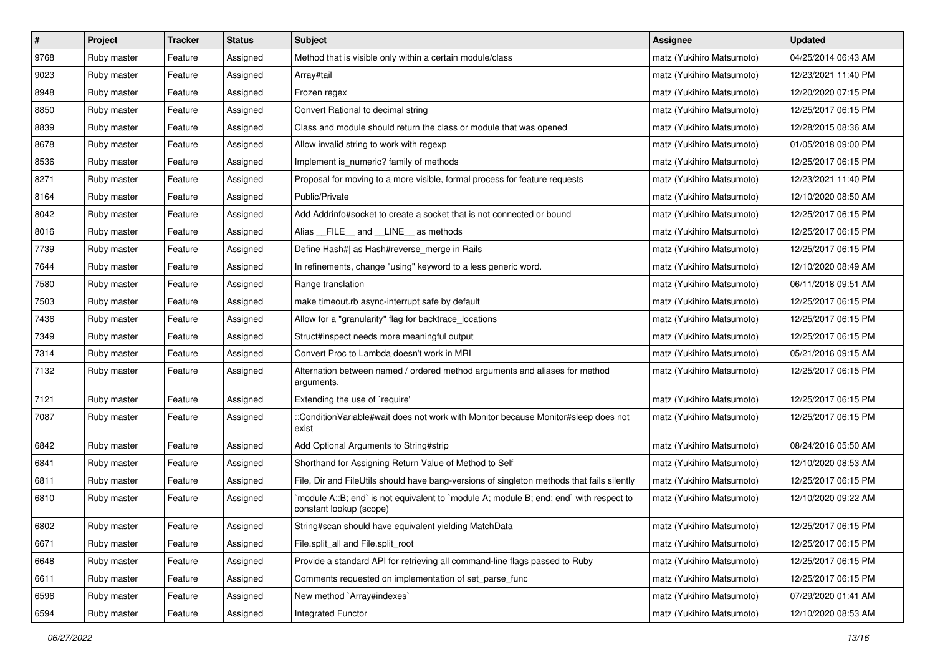| $\vert$ # | Project     | <b>Tracker</b> | <b>Status</b> | Subject                                                                                                          | <b>Assignee</b>           | <b>Updated</b>      |
|-----------|-------------|----------------|---------------|------------------------------------------------------------------------------------------------------------------|---------------------------|---------------------|
| 9768      | Ruby master | Feature        | Assigned      | Method that is visible only within a certain module/class                                                        | matz (Yukihiro Matsumoto) | 04/25/2014 06:43 AM |
| 9023      | Ruby master | Feature        | Assigned      | Array#tail                                                                                                       | matz (Yukihiro Matsumoto) | 12/23/2021 11:40 PM |
| 8948      | Ruby master | Feature        | Assigned      | Frozen regex                                                                                                     | matz (Yukihiro Matsumoto) | 12/20/2020 07:15 PM |
| 8850      | Ruby master | Feature        | Assigned      | Convert Rational to decimal string                                                                               | matz (Yukihiro Matsumoto) | 12/25/2017 06:15 PM |
| 8839      | Ruby master | Feature        | Assigned      | Class and module should return the class or module that was opened                                               | matz (Yukihiro Matsumoto) | 12/28/2015 08:36 AM |
| 8678      | Ruby master | Feature        | Assigned      | Allow invalid string to work with regexp                                                                         | matz (Yukihiro Matsumoto) | 01/05/2018 09:00 PM |
| 8536      | Ruby master | Feature        | Assigned      | Implement is_numeric? family of methods                                                                          | matz (Yukihiro Matsumoto) | 12/25/2017 06:15 PM |
| 8271      | Ruby master | Feature        | Assigned      | Proposal for moving to a more visible, formal process for feature requests                                       | matz (Yukihiro Matsumoto) | 12/23/2021 11:40 PM |
| 8164      | Ruby master | Feature        | Assigned      | Public/Private                                                                                                   | matz (Yukihiro Matsumoto) | 12/10/2020 08:50 AM |
| 8042      | Ruby master | Feature        | Assigned      | Add Addrinfo#socket to create a socket that is not connected or bound                                            | matz (Yukihiro Matsumoto) | 12/25/2017 06:15 PM |
| 8016      | Ruby master | Feature        | Assigned      | Alias FILE and LINE as methods                                                                                   | matz (Yukihiro Matsumoto) | 12/25/2017 06:15 PM |
| 7739      | Ruby master | Feature        | Assigned      | Define Hash#  as Hash#reverse_merge in Rails                                                                     | matz (Yukihiro Matsumoto) | 12/25/2017 06:15 PM |
| 7644      | Ruby master | Feature        | Assigned      | In refinements, change "using" keyword to a less generic word.                                                   | matz (Yukihiro Matsumoto) | 12/10/2020 08:49 AM |
| 7580      | Ruby master | Feature        | Assigned      | Range translation                                                                                                | matz (Yukihiro Matsumoto) | 06/11/2018 09:51 AM |
| 7503      | Ruby master | Feature        | Assigned      | make timeout.rb async-interrupt safe by default                                                                  | matz (Yukihiro Matsumoto) | 12/25/2017 06:15 PM |
| 7436      | Ruby master | Feature        | Assigned      | Allow for a "granularity" flag for backtrace_locations                                                           | matz (Yukihiro Matsumoto) | 12/25/2017 06:15 PM |
| 7349      | Ruby master | Feature        | Assigned      | Struct#inspect needs more meaningful output                                                                      | matz (Yukihiro Matsumoto) | 12/25/2017 06:15 PM |
| 7314      | Ruby master | Feature        | Assigned      | Convert Proc to Lambda doesn't work in MRI                                                                       | matz (Yukihiro Matsumoto) | 05/21/2016 09:15 AM |
| 7132      | Ruby master | Feature        | Assigned      | Alternation between named / ordered method arguments and aliases for method<br>arguments.                        | matz (Yukihiro Matsumoto) | 12/25/2017 06:15 PM |
| 7121      | Ruby master | Feature        | Assigned      | Extending the use of `require'                                                                                   | matz (Yukihiro Matsumoto) | 12/25/2017 06:15 PM |
| 7087      | Ruby master | Feature        | Assigned      | ::ConditionVariable#wait does not work with Monitor because Monitor#sleep does not<br>exist                      | matz (Yukihiro Matsumoto) | 12/25/2017 06:15 PM |
| 6842      | Ruby master | Feature        | Assigned      | Add Optional Arguments to String#strip                                                                           | matz (Yukihiro Matsumoto) | 08/24/2016 05:50 AM |
| 6841      | Ruby master | Feature        | Assigned      | Shorthand for Assigning Return Value of Method to Self                                                           | matz (Yukihiro Matsumoto) | 12/10/2020 08:53 AM |
| 6811      | Ruby master | Feature        | Assigned      | File, Dir and FileUtils should have bang-versions of singleton methods that fails silently                       | matz (Yukihiro Matsumoto) | 12/25/2017 06:15 PM |
| 6810      | Ruby master | Feature        | Assigned      | module A::B; end` is not equivalent to `module A; module B; end; end` with respect to<br>constant lookup (scope) | matz (Yukihiro Matsumoto) | 12/10/2020 09:22 AM |
| 6802      | Ruby master | Feature        | Assigned      | String#scan should have equivalent yielding MatchData                                                            | matz (Yukihiro Matsumoto) | 12/25/2017 06:15 PM |
| 6671      | Ruby master | Feature        | Assigned      | File.split all and File.split root                                                                               | matz (Yukihiro Matsumoto) | 12/25/2017 06:15 PM |
| 6648      | Ruby master | Feature        | Assigned      | Provide a standard API for retrieving all command-line flags passed to Ruby                                      | matz (Yukihiro Matsumoto) | 12/25/2017 06:15 PM |
| 6611      | Ruby master | Feature        | Assigned      | Comments requested on implementation of set_parse_func                                                           | matz (Yukihiro Matsumoto) | 12/25/2017 06:15 PM |
| 6596      | Ruby master | Feature        | Assigned      | New method `Array#indexes`                                                                                       | matz (Yukihiro Matsumoto) | 07/29/2020 01:41 AM |
| 6594      | Ruby master | Feature        | Assigned      | Integrated Functor                                                                                               | matz (Yukihiro Matsumoto) | 12/10/2020 08:53 AM |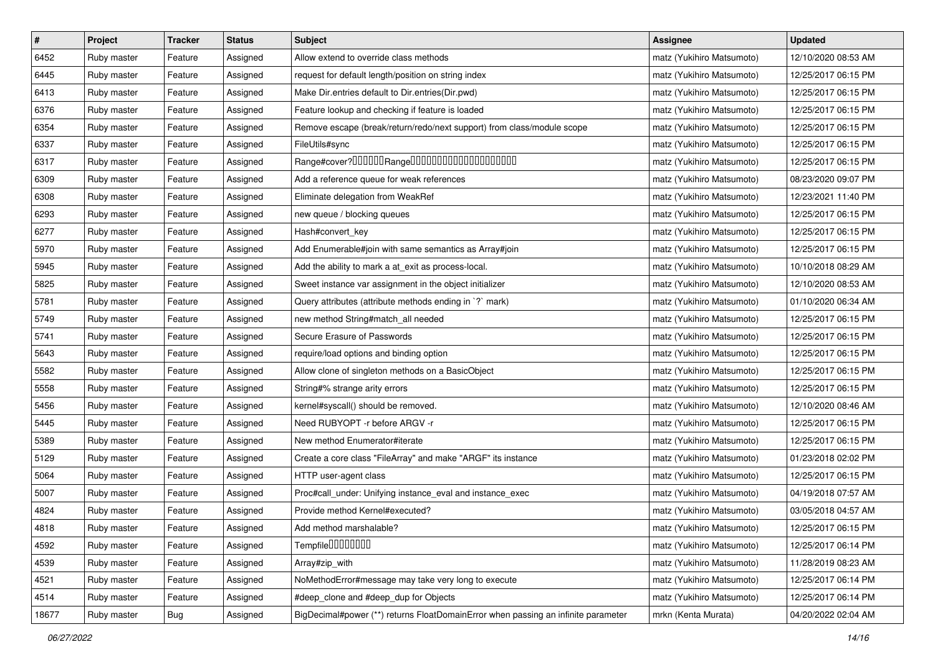| $\pmb{\#}$ | Project     | <b>Tracker</b> | <b>Status</b> | <b>Subject</b>                                                                    | Assignee                  | <b>Updated</b>      |
|------------|-------------|----------------|---------------|-----------------------------------------------------------------------------------|---------------------------|---------------------|
| 6452       | Ruby master | Feature        | Assigned      | Allow extend to override class methods                                            | matz (Yukihiro Matsumoto) | 12/10/2020 08:53 AM |
| 6445       | Ruby master | Feature        | Assigned      | request for default length/position on string index                               | matz (Yukihiro Matsumoto) | 12/25/2017 06:15 PM |
| 6413       | Ruby master | Feature        | Assigned      | Make Dir.entries default to Dir.entries(Dir.pwd)                                  | matz (Yukihiro Matsumoto) | 12/25/2017 06:15 PM |
| 6376       | Ruby master | Feature        | Assigned      | Feature lookup and checking if feature is loaded                                  | matz (Yukihiro Matsumoto) | 12/25/2017 06:15 PM |
| 6354       | Ruby master | Feature        | Assigned      | Remove escape (break/return/redo/next support) from class/module scope            | matz (Yukihiro Matsumoto) | 12/25/2017 06:15 PM |
| 6337       | Ruby master | Feature        | Assigned      | FileUtils#sync                                                                    | matz (Yukihiro Matsumoto) | 12/25/2017 06:15 PM |
| 6317       | Ruby master | Feature        | Assigned      | Range#cover?000000Range00000000000000000000                                       | matz (Yukihiro Matsumoto) | 12/25/2017 06:15 PM |
| 6309       | Ruby master | Feature        | Assigned      | Add a reference queue for weak references                                         | matz (Yukihiro Matsumoto) | 08/23/2020 09:07 PM |
| 6308       | Ruby master | Feature        | Assigned      | Eliminate delegation from WeakRef                                                 | matz (Yukihiro Matsumoto) | 12/23/2021 11:40 PM |
| 6293       | Ruby master | Feature        | Assigned      | new queue / blocking queues                                                       | matz (Yukihiro Matsumoto) | 12/25/2017 06:15 PM |
| 6277       | Ruby master | Feature        | Assigned      | Hash#convert_key                                                                  | matz (Yukihiro Matsumoto) | 12/25/2017 06:15 PM |
| 5970       | Ruby master | Feature        | Assigned      | Add Enumerable#join with same semantics as Array#join                             | matz (Yukihiro Matsumoto) | 12/25/2017 06:15 PM |
| 5945       | Ruby master | Feature        | Assigned      | Add the ability to mark a at_exit as process-local.                               | matz (Yukihiro Matsumoto) | 10/10/2018 08:29 AM |
| 5825       | Ruby master | Feature        | Assigned      | Sweet instance var assignment in the object initializer                           | matz (Yukihiro Matsumoto) | 12/10/2020 08:53 AM |
| 5781       | Ruby master | Feature        | Assigned      | Query attributes (attribute methods ending in `?` mark)                           | matz (Yukihiro Matsumoto) | 01/10/2020 06:34 AM |
| 5749       | Ruby master | Feature        | Assigned      | new method String#match_all needed                                                | matz (Yukihiro Matsumoto) | 12/25/2017 06:15 PM |
| 5741       | Ruby master | Feature        | Assigned      | Secure Erasure of Passwords                                                       | matz (Yukihiro Matsumoto) | 12/25/2017 06:15 PM |
| 5643       | Ruby master | Feature        | Assigned      | require/load options and binding option                                           | matz (Yukihiro Matsumoto) | 12/25/2017 06:15 PM |
| 5582       | Ruby master | Feature        | Assigned      | Allow clone of singleton methods on a BasicObject                                 | matz (Yukihiro Matsumoto) | 12/25/2017 06:15 PM |
| 5558       | Ruby master | Feature        | Assigned      | String#% strange arity errors                                                     | matz (Yukihiro Matsumoto) | 12/25/2017 06:15 PM |
| 5456       | Ruby master | Feature        | Assigned      | kernel#syscall() should be removed.                                               | matz (Yukihiro Matsumoto) | 12/10/2020 08:46 AM |
| 5445       | Ruby master | Feature        | Assigned      | Need RUBYOPT -r before ARGV -r                                                    | matz (Yukihiro Matsumoto) | 12/25/2017 06:15 PM |
| 5389       | Ruby master | Feature        | Assigned      | New method Enumerator#iterate                                                     | matz (Yukihiro Matsumoto) | 12/25/2017 06:15 PM |
| 5129       | Ruby master | Feature        | Assigned      | Create a core class "FileArray" and make "ARGF" its instance                      | matz (Yukihiro Matsumoto) | 01/23/2018 02:02 PM |
| 5064       | Ruby master | Feature        | Assigned      | HTTP user-agent class                                                             | matz (Yukihiro Matsumoto) | 12/25/2017 06:15 PM |
| 5007       | Ruby master | Feature        | Assigned      | Proc#call_under: Unifying instance_eval and instance_exec                         | matz (Yukihiro Matsumoto) | 04/19/2018 07:57 AM |
| 4824       | Ruby master | Feature        | Assigned      | Provide method Kernel#executed?                                                   | matz (Yukihiro Matsumoto) | 03/05/2018 04:57 AM |
| 4818       | Ruby master | Feature        | Assigned      | Add method marshalable?                                                           | matz (Yukihiro Matsumoto) | 12/25/2017 06:15 PM |
| 4592       | Ruby master | Feature        | Assigned      | Tempfile0000000                                                                   | matz (Yukihiro Matsumoto) | 12/25/2017 06:14 PM |
| 4539       | Ruby master | Feature        | Assigned      | Array#zip_with                                                                    | matz (Yukihiro Matsumoto) | 11/28/2019 08:23 AM |
| 4521       | Ruby master | Feature        | Assigned      | NoMethodError#message may take very long to execute                               | matz (Yukihiro Matsumoto) | 12/25/2017 06:14 PM |
| 4514       | Ruby master | Feature        | Assigned      | #deep_clone and #deep_dup for Objects                                             | matz (Yukihiro Matsumoto) | 12/25/2017 06:14 PM |
| 18677      | Ruby master | Bug            | Assigned      | BigDecimal#power (**) returns FloatDomainError when passing an infinite parameter | mrkn (Kenta Murata)       | 04/20/2022 02:04 AM |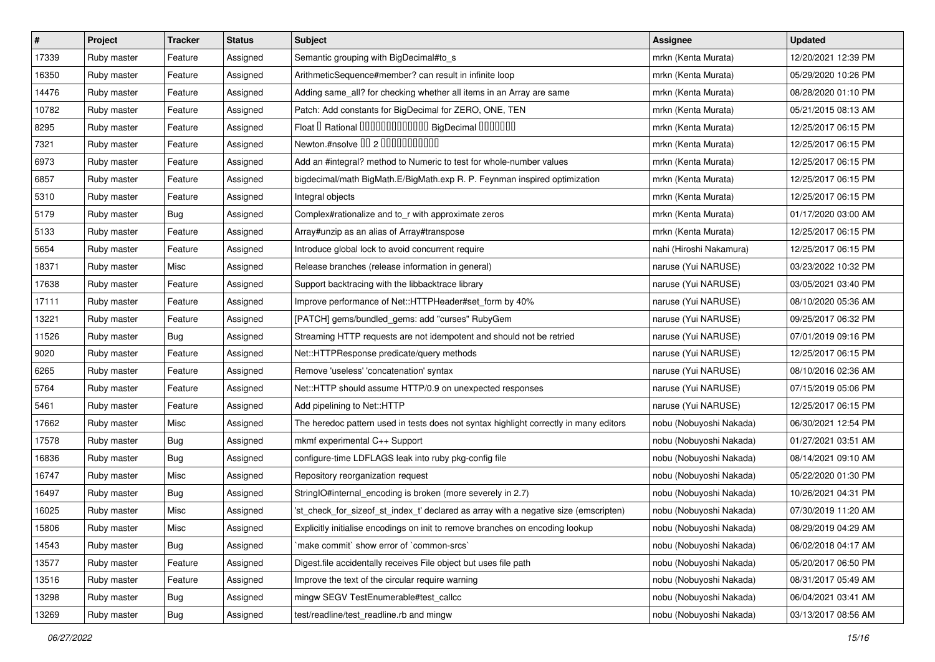| $\vert$ # | Project     | <b>Tracker</b> | <b>Status</b> | <b>Subject</b>                                                                        | Assignee                | <b>Updated</b>      |
|-----------|-------------|----------------|---------------|---------------------------------------------------------------------------------------|-------------------------|---------------------|
| 17339     | Ruby master | Feature        | Assigned      | Semantic grouping with BigDecimal#to_s                                                | mrkn (Kenta Murata)     | 12/20/2021 12:39 PM |
| 16350     | Ruby master | Feature        | Assigned      | ArithmeticSequence#member? can result in infinite loop                                | mrkn (Kenta Murata)     | 05/29/2020 10:26 PM |
| 14476     | Ruby master | Feature        | Assigned      | Adding same_all? for checking whether all items in an Array are same                  | mrkn (Kenta Murata)     | 08/28/2020 01:10 PM |
| 10782     | Ruby master | Feature        | Assigned      | Patch: Add constants for BigDecimal for ZERO, ONE, TEN                                | mrkn (Kenta Murata)     | 05/21/2015 08:13 AM |
| 8295      | Ruby master | Feature        | Assigned      | Float I Rational IIIIIIIIIIIIIIIIIII BigDecimal IIIIIIIIII                            | mrkn (Kenta Murata)     | 12/25/2017 06:15 PM |
| 7321      | Ruby master | Feature        | Assigned      | Newton.#nsolve 00 2 00000000000                                                       | mrkn (Kenta Murata)     | 12/25/2017 06:15 PM |
| 6973      | Ruby master | Feature        | Assigned      | Add an #integral? method to Numeric to test for whole-number values                   | mrkn (Kenta Murata)     | 12/25/2017 06:15 PM |
| 6857      | Ruby master | Feature        | Assigned      | bigdecimal/math BigMath.E/BigMath.exp R. P. Feynman inspired optimization             | mrkn (Kenta Murata)     | 12/25/2017 06:15 PM |
| 5310      | Ruby master | Feature        | Assigned      | Integral objects                                                                      | mrkn (Kenta Murata)     | 12/25/2017 06:15 PM |
| 5179      | Ruby master | Bug            | Assigned      | Complex#rationalize and to_r with approximate zeros                                   | mrkn (Kenta Murata)     | 01/17/2020 03:00 AM |
| 5133      | Ruby master | Feature        | Assigned      | Array#unzip as an alias of Array#transpose                                            | mrkn (Kenta Murata)     | 12/25/2017 06:15 PM |
| 5654      | Ruby master | Feature        | Assigned      | Introduce global lock to avoid concurrent require                                     | nahi (Hiroshi Nakamura) | 12/25/2017 06:15 PM |
| 18371     | Ruby master | Misc           | Assigned      | Release branches (release information in general)                                     | naruse (Yui NARUSE)     | 03/23/2022 10:32 PM |
| 17638     | Ruby master | Feature        | Assigned      | Support backtracing with the libbacktrace library                                     | naruse (Yui NARUSE)     | 03/05/2021 03:40 PM |
| 17111     | Ruby master | Feature        | Assigned      | Improve performance of Net::HTTPHeader#set_form by 40%                                | naruse (Yui NARUSE)     | 08/10/2020 05:36 AM |
| 13221     | Ruby master | Feature        | Assigned      | [PATCH] gems/bundled_gems: add "curses" RubyGem                                       | naruse (Yui NARUSE)     | 09/25/2017 06:32 PM |
| 11526     | Ruby master | Bug            | Assigned      | Streaming HTTP requests are not idempotent and should not be retried                  | naruse (Yui NARUSE)     | 07/01/2019 09:16 PM |
| 9020      | Ruby master | Feature        | Assigned      | Net::HTTPResponse predicate/query methods                                             | naruse (Yui NARUSE)     | 12/25/2017 06:15 PM |
| 6265      | Ruby master | Feature        | Assigned      | Remove 'useless' 'concatenation' syntax                                               | naruse (Yui NARUSE)     | 08/10/2016 02:36 AM |
| 5764      | Ruby master | Feature        | Assigned      | Net::HTTP should assume HTTP/0.9 on unexpected responses                              | naruse (Yui NARUSE)     | 07/15/2019 05:06 PM |
| 5461      | Ruby master | Feature        | Assigned      | Add pipelining to Net::HTTP                                                           | naruse (Yui NARUSE)     | 12/25/2017 06:15 PM |
| 17662     | Ruby master | Misc           | Assigned      | The heredoc pattern used in tests does not syntax highlight correctly in many editors | nobu (Nobuyoshi Nakada) | 06/30/2021 12:54 PM |
| 17578     | Ruby master | Bug            | Assigned      | mkmf experimental C++ Support                                                         | nobu (Nobuyoshi Nakada) | 01/27/2021 03:51 AM |
| 16836     | Ruby master | Bug            | Assigned      | configure-time LDFLAGS leak into ruby pkg-config file                                 | nobu (Nobuyoshi Nakada) | 08/14/2021 09:10 AM |
| 16747     | Ruby master | Misc           | Assigned      | Repository reorganization request                                                     | nobu (Nobuyoshi Nakada) | 05/22/2020 01:30 PM |
| 16497     | Ruby master | Bug            | Assigned      | StringIO#internal_encoding is broken (more severely in 2.7)                           | nobu (Nobuyoshi Nakada) | 10/26/2021 04:31 PM |
| 16025     | Ruby master | Misc           | Assigned      | 'st_check_for_sizeof_st_index_t' declared as array with a negative size (emscripten)  | nobu (Nobuyoshi Nakada) | 07/30/2019 11:20 AM |
| 15806     | Ruby master | Misc           | Assigned      | Explicitly initialise encodings on init to remove branches on encoding lookup         | nobu (Nobuyoshi Nakada) | 08/29/2019 04:29 AM |
| 14543     | Ruby master | Bug            | Assigned      | `make commit` show error of `common-srcs`                                             | nobu (Nobuyoshi Nakada) | 06/02/2018 04:17 AM |
| 13577     | Ruby master | Feature        | Assigned      | Digest file accidentally receives File object but uses file path                      | nobu (Nobuyoshi Nakada) | 05/20/2017 06:50 PM |
| 13516     | Ruby master | Feature        | Assigned      | Improve the text of the circular require warning                                      | nobu (Nobuyoshi Nakada) | 08/31/2017 05:49 AM |
| 13298     | Ruby master | <b>Bug</b>     | Assigned      | mingw SEGV TestEnumerable#test_callcc                                                 | nobu (Nobuyoshi Nakada) | 06/04/2021 03:41 AM |
| 13269     | Ruby master | Bug            | Assigned      | test/readline/test_readline.rb and mingw                                              | nobu (Nobuyoshi Nakada) | 03/13/2017 08:56 AM |